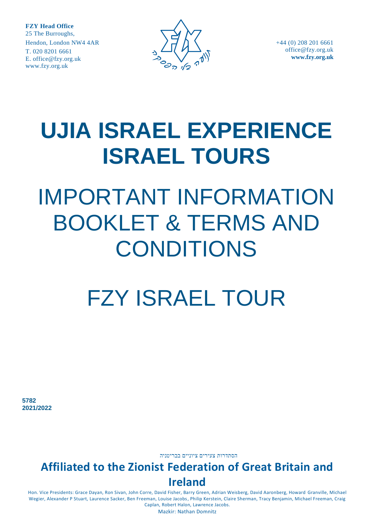

+44 (0) 208 201 6661 [office@fzy.org.uk](mailto:office@fzy.org.uk) **[www.fzy.org.uk](http://www.fzy.org.uk/)**

# **UJIA ISRAEL EXPERIENCE ISRAEL TOURS**

# IMPORTANT INFORMATION BOOKLET & TERMS AND CONDITIONS

# FZY ISRAEL TOUR

**5782 2021/2022**

הסתדרות צעירים ציוניים בבריטניה

# **Affiliated to the Zionist Federation of Great Britain and Ireland**

Hon. Vice Presidents: Grace Dayan, Ron Sivan, John Corre, David Fisher, Barry Green, Adrian Weisberg, David Aaronberg, Howard Granville, Michael Wegier, Alexander P Stuart, Laurence Sacker, Ben Freeman, Louise Jacobs, Philip Kerstein, Claire Sherman, Tracy Benjamin, Michael Freeman, Craig Caplan, Robert Halon, Lawrence Jacobs.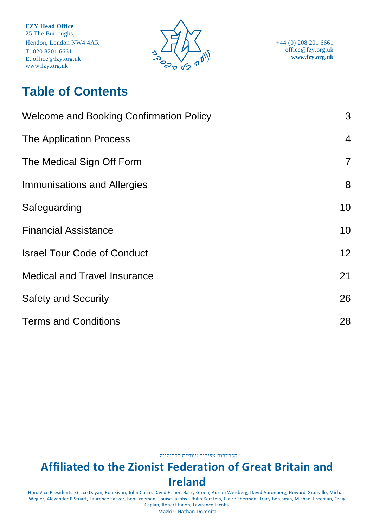

+44 (0) 208 201 6661 [office@fzy.org.uk](mailto:office@fzy.org.uk) **[www.fzy.org.uk](http://www.fzy.org.uk/)**

# **Table of Contents**

| <b>Welcome and Booking Confirmation Policy</b> | 3              |
|------------------------------------------------|----------------|
| <b>The Application Process</b>                 | $\overline{4}$ |
| The Medical Sign Off Form                      | $\overline{7}$ |
| Immunisations and Allergies                    | 8              |
| Safeguarding                                   | 10             |
| <b>Financial Assistance</b>                    | 10             |
| <b>Israel Tour Code of Conduct</b>             | 12             |
| <b>Medical and Travel Insurance</b>            | 21             |
| <b>Safety and Security</b>                     | 26             |
| <b>Terms and Conditions</b>                    | 28             |

הסתדרות צעירים ציוניים בבריטניה

# **Affiliated to the Zionist Federation of Great Britain and Ireland**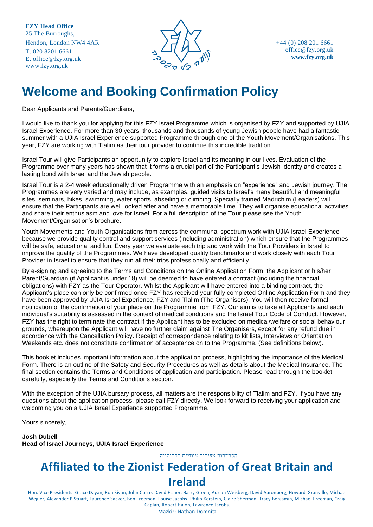

+44 (0) 208 201 6661 [office@fzy.org.uk](mailto:office@fzy.org.uk) **[www.fzy.org.uk](http://www.fzy.org.uk/)**

# <span id="page-2-0"></span>**Welcome and Booking Confirmation Policy**

Dear Applicants and Parents/Guardians,

I would like to thank you for applying for this FZY Israel Programme which is organised by FZY and supported by UJIA Israel Experience. For more than 30 years, thousands and thousands of young Jewish people have had a fantastic summer with a UJIA Israel Experience supported Programme through one of the Youth Movement/Organisations. This year, FZY are working with Tlalim as their tour provider to continue this incredible tradition.

Israel Tour will give Participants an opportunity to explore Israel and its meaning in our lives. Evaluation of the Programme over many years has shown that it forms a crucial part of the Participant's Jewish identity and creates a lasting bond with Israel and the Jewish people.

Israel Tour is a 2-4 week educationally driven Programme with an emphasis on "experience" and Jewish journey. The Programmes are very varied and may include, as examples, guided visits to Israel's many beautiful and meaningful sites, seminars, hikes, swimming, water sports, abseiling or climbing. Specially trained Madrichim (Leaders) will ensure that the Participants are well looked after and have a memorable time. They will organise educational activities and share their enthusiasm and love for Israel. For a full description of the Tour please see the Youth Movement/Organisation's brochure.

Youth Movements and Youth Organisations from across the communal spectrum work with UJIA Israel Experience because we provide quality control and support services (including administration) which ensure that the Programmes will be safe, educational and fun. Every year we evaluate each trip and work with the Tour Providers in Israel to improve the quality of the Programmes. We have developed quality benchmarks and work closely with each Tour Provider in Israel to ensure that they run all their trips professionally and efficiently.

By e-signing and agreeing to the Terms and Conditions on the Online Application Form, the Applicant or his/her Parent/Guardian (if Applicant is under 18) will be deemed to have entered a contract (including the financial obligations) with FZY as the Tour Operator. Whilst the Applicant will have entered into a binding contract, the Applicant's place can only be confirmed once FZY has received your fully completed Online Application Form and they have been approved by UJIA Israel Experience, FZY and Tlalim (The Organisers). You will then receive formal notification of the confirmation of your place on the Programme from FZY. Our aim is to take all Applicants and each individual's suitability is assessed in the context of medical conditions and the Israel Tour Code of Conduct. However, FZY has the right to terminate the contract if the Applicant has to be excluded on medical/welfare or social behaviour grounds, whereupon the Applicant will have no further claim against The Organisers, except for any refund due in accordance with the Cancellation Policy. Receipt of correspondence relating to kit lists, Interviews or Orientation Weekends etc. does not constitute confirmation of acceptance on to the Programme. (See definitions below).

This booklet includes important information about the application process, highlighting the importance of the Medical Form. There is an outline of the Safety and Security Procedures as well as details about the Medical Insurance. The final section contains the Terms and Conditions of application and participation. Please read through the booklet carefully, especially the Terms and Conditions section.

With the exception of the UJIA bursary process, all matters are the responsibility of Tlalim and FZY. If you have any questions about the application process, please call FZY directly. We look forward to receiving your application and welcoming you on a UJIA Israel Experience supported Programme.

Yours sincerely,

**Josh Dubell Head of Israel Journeys, UJIA Israel Experience**

הסתדרות צעירים ציוניים בבריטניה

# **Affiliated to the Zionist Federation of Great Britain and**

#### **Ireland**

Hon. Vice Presidents: Grace Dayan, Ron Sivan, John Corre, David Fisher, Barry Green, Adrian Weisberg, David Aaronberg, Howard Granville, Michael Wegier, Alexander P Stuart, Laurence Sacker, Ben Freeman, Louise Jacobs, Philip Kerstein, Claire Sherman, Tracy Benjamin, Michael Freeman, Craig Caplan, Robert Halon, Lawrence Jacobs.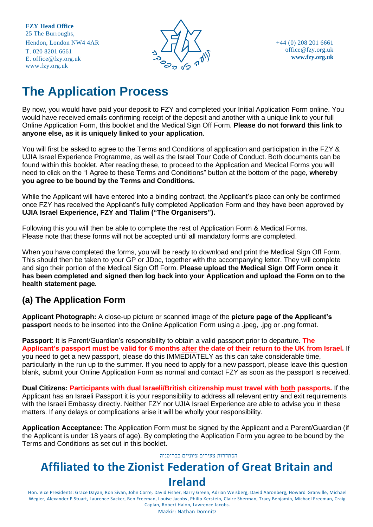

+44 (0) 208 201 6661 [office@fzy.org.uk](mailto:office@fzy.org.uk) **[www.fzy.org.uk](http://www.fzy.org.uk/)**

# <span id="page-3-0"></span>**The Application Process**

By now, you would have paid your deposit to FZY and completed your Initial Application Form online. You would have received emails confirming receipt of the deposit and another with a unique link to your full Online Application Form, this booklet and the Medical Sign Off Form. **Please do not forward this link to anyone else, as it is uniquely linked to your application**.

You will first be asked to agree to the Terms and Conditions of application and participation in the FZY & UJIA Israel Experience Programme, as well as the Israel Tour Code of Conduct. Both documents can be found within this booklet. After reading these, to proceed to the Application and Medical Forms you will need to click on the "I Agree to these Terms and Conditions" button at the bottom of the page, **whereby you agree to be bound by the Terms and Conditions.**

While the Applicant will have entered into a binding contract, the Applicant's place can only be confirmed once FZY has received the Applicant's fully completed Application Form and they have been approved by **UJIA Israel Experience, FZY and Tlalim ("The Organisers").**

Following this you will then be able to complete the rest of Application Form & Medical Forms. Please note that these forms will not be accepted until all mandatory forms are completed.

When you have completed the forms, you will be ready to download and print the Medical Sign Off Form. This should then be taken to your GP or JDoc, together with the accompanying letter. They will complete and sign their portion of the Medical Sign Off Form. **Please upload the Medical Sign Off Form once it has been completed and signed then log back into your Application and upload the Form on to the health statement page.**

### **(a) The Application Form**

**Applicant Photograph:** A close-up picture or scanned image of the **picture page of the Applicant's passport** needs to be inserted into the Online Application Form using a .jpeg, .jpg or .png format.

**Passport**: It is Parent/Guardian's responsibility to obtain a valid passport prior to departure. **The Applicant's passport must be valid for 6 months after the date of their return to the UK from Israel.** If you need to get a new passport, please do this IMMEDIATELY as this can take considerable time, particularly in the run up to the summer. If you need to apply for a new passport, please leave this question blank, submit your Online Application Form as normal and contact FZY as soon as the passport is received.

**Dual Citizens: Participants with dual Israeli/British citizenship must travel with both passports.** If the Applicant has an Israeli Passport it is your responsibility to address all relevant entry and exit requirements with the Israeli Embassy directly. Neither FZY nor UJIA Israel Experience are able to advise you in these matters. If any delays or complications arise it will be wholly your responsibility.

**Application Acceptance:** The Application Form must be signed by the Applicant and a Parent/Guardian (if the Applicant is under 18 years of age). By completing the Application Form you agree to be bound by the Terms and Conditions as set out in this booklet.

#### הסתדרות צעירים ציוניים בבריטניה

# **Affiliated to the Zionist Federation of Great Britain and**

#### **Ireland**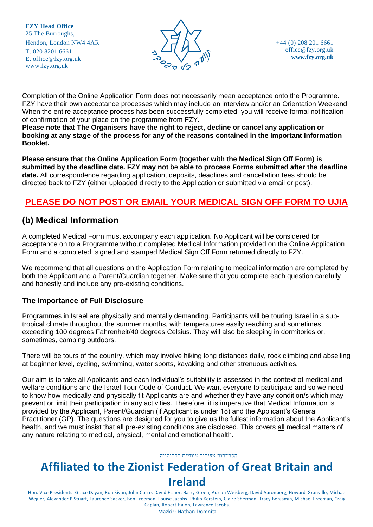

Completion of the Online Application Form does not necessarily mean acceptance onto the Programme. FZY have their own acceptance processes which may include an interview and/or an Orientation Weekend. When the entire acceptance process has been successfully completed, you will receive formal notification of confirmation of your place on the programme from FZY.

**Please note that The Organisers have the right to reject, decline or cancel any application or booking at any stage of the process for any of the reasons contained in the Important Information Booklet.**

**Please ensure that the Online Application Form (together with the Medical Sign Off Form) is submitted by the deadline date. FZY may not** be **able to process Forms submitted after the deadline date.** All correspondence regarding application, deposits, deadlines and cancellation fees should be directed back to FZY (either uploaded directly to the Application or submitted via email or post).

### **PLEASE DO NOT POST OR EMAIL YOUR MEDICAL SIGN OFF FORM TO UJIA**

### **(b) Medical Information**

A completed Medical Form must accompany each application. No Applicant will be considered for acceptance on to a Programme without completed Medical Information provided on the Online Application Form and a completed, signed and stamped Medical Sign Off Form returned directly to FZY.

We recommend that all questions on the Application Form relating to medical information are completed by both the Applicant and a Parent/Guardian together. Make sure that you complete each question carefully and honestly and include any pre-existing conditions.

#### **The Importance of Full Disclosure**

Programmes in Israel are physically and mentally demanding. Participants will be touring Israel in a subtropical climate throughout the summer months, with temperatures easily reaching and sometimes exceeding 100 degrees Fahrenheit/40 degrees Celsius. They will also be sleeping in dormitories or, sometimes, camping outdoors.

There will be tours of the country, which may involve hiking long distances daily, rock climbing and abseiling at beginner level, cycling, swimming, water sports, kayaking and other strenuous activities.

Our aim is to take all Applicants and each individual's suitability is assessed in the context of medical and welfare conditions and the Israel Tour Code of Conduct. We want everyone to participate and so we need to know how medically and physically fit Applicants are and whether they have any condition/s which may prevent or limit their participation in any activities. Therefore, it is imperative that Medical Information is provided by the Applicant, Parent/Guardian (if Applicant is under 18) and the Applicant's General Practitioner (GP). The questions are designed for you to give us the fullest information about the Applicant's health, and we must insist that all pre-existing conditions are disclosed. This covers all medical matters of any nature relating to medical, physical, mental and emotional health.

#### הסתדרות צעירים ציוניים בבריטניה

# **Affiliated to the Zionist Federation of Great Britain and Ireland**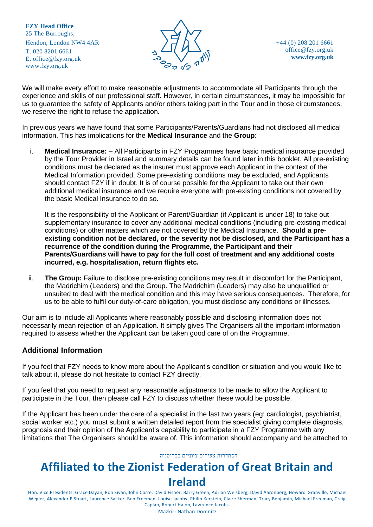

+44 (0) 208 201 6661 [office@fzy.org.uk](mailto:office@fzy.org.uk) **[www.fzy.org.uk](http://www.fzy.org.uk/)**

We will make every effort to make reasonable adjustments to accommodate all Participants through the experience and skills of our professional staff. However, in certain circumstances, it may be impossible for us to guarantee the safety of Applicants and/or others taking part in the Tour and in those circumstances, we reserve the right to refuse the application.

In previous years we have found that some Participants/Parents/Guardians had not disclosed all medical information. This has implications for the **Medical Insurance** and the **Group**:

i. **Medical Insurance:** – All Participants in FZY Programmes have basic medical insurance provided by the Tour Provider in Israel and summary details can be found later in this booklet. All pre-existing conditions must be declared as the insurer must approve each Applicant in the context of the Medical Information provided. Some pre-existing conditions may be excluded, and Applicants should contact FZY if in doubt. It is of course possible for the Applicant to take out their own additional medical insurance and we require everyone with pre-existing conditions not covered by the basic Medical Insurance to do so.

It is the responsibility of the Applicant or Parent/Guardian (if Applicant is under 18) to take out supplementary insurance to cover any additional medical conditions (including pre-existing medical conditions) or other matters which are not covered by the Medical Insurance. **Should a preexisting condition not be declared, or the severity not be disclosed, and the Participant has a recurrence of the condition during the Programme, the Participant and their Parents/Guardians will have to pay for the full cost of treatment and any additional costs incurred, e.g. hospitalisation, return flights etc.**

ii. **The Group:** Failure to disclose pre-existing conditions may result in discomfort for the Participant, the Madrichim (Leaders) and the Group. The Madrichim (Leaders) may also be unqualified or unsuited to deal with the medical condition and this may have serious consequences. Therefore, for us to be able to fulfil our duty-of-care obligation, you must disclose any conditions or illnesses.

Our aim is to include all Applicants where reasonably possible and disclosing information does not necessarily mean rejection of an Application. It simply gives The Organisers all the important information required to assess whether the Applicant can be taken good care of on the Programme.

#### **Additional Information**

If you feel that FZY needs to know more about the Applicant's condition or situation and you would like to talk about it, please do not hesitate to contact FZY directly.

If you feel that you need to request any reasonable adjustments to be made to allow the Applicant to participate in the Tour, then please call FZY to discuss whether these would be possible.

If the Applicant has been under the care of a specialist in the last two years (eg: cardiologist, psychiatrist, social worker etc.) you must submit a written detailed report from the specialist giving complete diagnosis, prognosis and their opinion of the Applicant's capability to participate in a FZY Programme with any limitations that The Organisers should be aware of. This information should accompany and be attached to

#### הסתדרות צעירים ציוניים בבריטניה

# **Affiliated to the Zionist Federation of Great Britain and Ireland**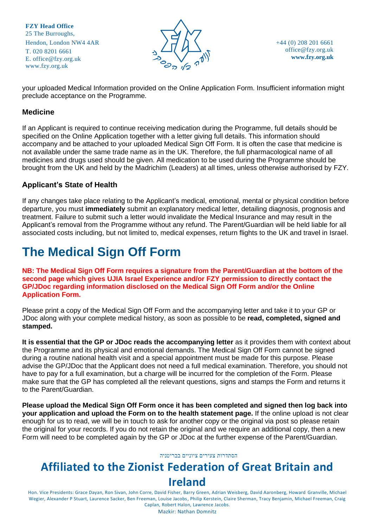

+44 (0) 208 201 6661 [office@fzy.org.uk](mailto:office@fzy.org.uk) **[www.fzy.org.uk](http://www.fzy.org.uk/)**

your uploaded Medical Information provided on the Online Application Form. Insufficient information might preclude acceptance on the Programme.

#### **Medicine**

If an Applicant is required to continue receiving medication during the Programme, full details should be specified on the Online Application together with a letter giving full details. This information should accompany and be attached to your uploaded Medical Sign Off Form. It is often the case that medicine is not available under the same trade name as in the UK. Therefore, the full pharmacological name of all medicines and drugs used should be given. All medication to be used during the Programme should be brought from the UK and held by the Madrichim (Leaders) at all times, unless otherwise authorised by FZY.

#### **Applicant's State of Health**

If any changes take place relating to the Applicant's medical, emotional, mental or physical condition before departure, you must **immediately** submit an explanatory medical letter, detailing diagnosis, prognosis and treatment. Failure to submit such a letter would invalidate the Medical Insurance and may result in the Applicant's removal from the Programme without any refund. The Parent/Guardian will be held liable for all associated costs including, but not limited to, medical expenses, return flights to the UK and travel in Israel.

# <span id="page-6-0"></span>**The Medical Sign Off Form**

**NB: The Medical Sign Off Form requires a signature from the Parent/Guardian at the bottom of the second page which gives UJIA Israel Experience and/or FZY permission to directly contact the GP/JDoc regarding information disclosed on the Medical Sign Off Form and/or the Online Application Form.** 

Please print a copy of the Medical Sign Off Form and the accompanying letter and take it to your GP or JDoc along with your complete medical history, as soon as possible to be **read, completed, signed and stamped.** 

**It is essential that the GP or JDoc reads the accompanying letter** as it provides them with context about the Programme and its physical and emotional demands. The Medical Sign Off Form cannot be signed during a routine national health visit and a special appointment must be made for this purpose. Please advise the GP/JDoc that the Applicant does not need a full medical examination. Therefore, you should not have to pay for a full examination, but a charge will be incurred for the completion of the Form. Please make sure that the GP has completed all the relevant questions, signs and stamps the Form and returns it to the Parent/Guardian.

**Please upload the Medical Sign Off Form once it has been completed and signed then log back into your application and upload the Form on to the health statement page.** If the online upload is not clear enough for us to read, we will be in touch to ask for another copy or the original via post so please retain the original for your records. If you do not retain the original and we require an additional copy, then a new Form will need to be completed again by the GP or JDoc at the further expense of the Parent/Guardian.

#### הסתדרות צעירים ציוניים בבריטניה

# **Affiliated to the Zionist Federation of Great Britain and**

#### **Ireland**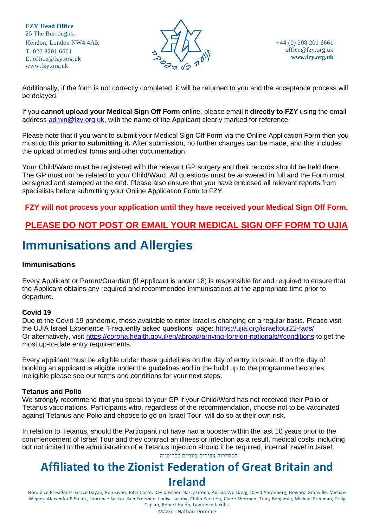

+44 (0) 208 201 6661 [office@fzy.org.uk](mailto:office@fzy.org.uk) **[www.fzy.org.uk](http://www.fzy.org.uk/)**

Additionally, if the form is not correctly completed, it will be returned to you and the acceptance process will be delayed.

If you **cannot upload your Medical Sign Off Form** online, please email it **directly to FZY** using the email address [admin@fzy.org.uk,](mailto:admin@fzy.org.uk) with the name of the Applicant clearly marked for reference.

Please note that if you want to submit your Medical Sign Off Form via the Online Application Form then you must do this **prior to submitting it.** After submission, no further changes can be made, and this includes the upload of medical forms and other documentation.

Your Child/Ward must be registered with the relevant GP surgery and their records should be held there. The GP must not be related to your Child/Ward. All questions must be answered in full and the Form must be signed and stamped at the end. Please also ensure that you have enclosed all relevant reports from specialists before submitting your Online Application Form to FZY.

#### **FZY will not process your application until they have received your Medical Sign Off Form.**

### **PLEASE DO NOT POST OR EMAIL YOUR MEDICAL SIGN OFF FORM TO UJIA**

# <span id="page-7-0"></span>**Immunisations and Allergies**

#### **Immunisations**

Every Applicant or Parent/Guardian (if Applicant is under 18) is responsible for and required to ensure that the Applicant obtains any required and recommended immunisations at the appropriate time prior to departure.

#### **Covid 19**

Due to the Covid-19 pandemic, those available to enter Israel is changing on a regular basis. Please visit the UJIA Israel Experience "Frequently asked questions" page:<https://ujia.org/israeltour22-faqs/> Or alternatively, visit<https://corona.health.gov.il/en/abroad/arriving-foreign-nationals/#conditions> to get the most up-to-date entry requirements.

Every applicant must be eligible under these guidelines on the day of entry to Israel. If on the day of booking an applicant is eligible under the guidelines and in the build up to the programme becomes ineligible please see our terms and conditions for your next steps.

#### **Tetanus and Polio**

We strongly recommend that you speak to your GP if your Child/Ward has not received their Polio or Tetanus vaccinations. Participants who, regardless of the recommendation, choose not to be vaccinated against Tetanus and Polio and choose to go on Israel Tour, will do so at their own risk.

הסתדרות צעירים ציוניים בבריטניה In relation to Tetanus, should the Participant not have had a booster within the last 10 years prior to the commencement of Israel Tour and they contract an illness or infection as a result, medical costs, including but not limited to the administration of a Tetanus injection should it be required, internal travel in Israel,

# **Affiliated to the Zionist Federation of Great Britain and**

#### **Ireland**

Hon. Vice Presidents: Grace Dayan, Ron Sivan, John Corre, David Fisher, Barry Green, Adrian Weisberg, David Aaronberg, Howard Granville, Michael Wegier, Alexander P Stuart, Laurence Sacker, Ben Freeman, Louise Jacobs, Philip Kerstein, Claire Sherman, Tracy Benjamin, Michael Freeman, Craig Caplan, Robert Halon, Lawrence Jacobs.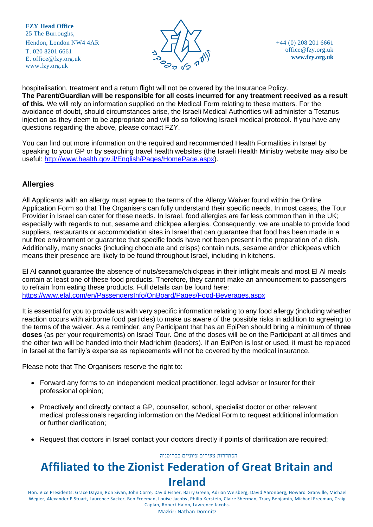

+44 (0) 208 201 6661 [office@fzy.org.uk](mailto:office@fzy.org.uk) **[www.fzy.org.uk](http://www.fzy.org.uk/)**

hospitalisation, treatment and a return flight will not be covered by the Insurance Policy. **The Parent/Guardian will be responsible for all costs incurred for any treatment received as a result of this.** We will rely on information supplied on the Medical Form relating to these matters. For the avoidance of doubt, should circumstances arise, the Israeli Medical Authorities will administer a Tetanus injection as they deem to be appropriate and will do so following Israeli medical protocol. If you have any questions regarding the above, please contact FZY.

You can find out more information on the required and recommended Health Formalities in Israel by speaking to your GP or by searching travel health websites (the Israeli Health Ministry website may also be useful: [http://www.health.gov.il/English/Pages/HomePage.aspx\)](http://www.health.gov.il/English/Pages/HomePage.aspx).

#### **Allergies**

All Applicants with an allergy must agree to the terms of the Allergy Waiver found within the Online Application Form so that The Organisers can fully understand their specific needs. In most cases, the Tour Provider in Israel can cater for these needs. In Israel, food allergies are far less common than in the UK; especially with regards to nut, sesame and chickpea allergies. Consequently, we are unable to provide food suppliers, restaurants or accommodation sites in Israel that can guarantee that food has been made in a nut free environment or guarantee that specific foods have not been present in the preparation of a dish. Additionally, many snacks (including chocolate and crisps) contain nuts, sesame and/or chickpeas which means their presence are likely to be found throughout Israel, including in kitchens.

El Al **cannot** guarantee the absence of nuts/sesame/chickpeas in their inflight meals and most El Al meals contain at least one of these food products. Therefore, they cannot make an announcement to passengers to refrain from eating these products. Full details can be found here: <https://www.elal.com/en/PassengersInfo/OnBoard/Pages/Food-Beverages.aspx>

It is essential for you to provide us with very specific information relating to any food allergy (including whether reaction occurs with airborne food particles) to make us aware of the possible risks in addition to agreeing to the terms of the waiver. As a reminder, any Participant that has an EpiPen should bring a minimum of **three doses** (as per your requirements) on Israel Tour. One of the doses will be on the Participant at all times and the other two will be handed into their Madrichim (leaders). If an EpiPen is lost or used, it must be replaced in Israel at the family's expense as replacements will not be covered by the medical insurance.

Please note that The Organisers reserve the right to:

- Forward any forms to an independent medical practitioner, legal advisor or Insurer for their professional opinion;
- Proactively and directly contact a GP, counsellor, school, specialist doctor or other relevant medical professionals regarding information on the Medical Form to request additional information or further clarification;
- Request that doctors in Israel contact your doctors directly if points of clarification are required;

#### הסתדרות צעירים ציוניים בבריטניה

# **Affiliated to the Zionist Federation of Great Britain and Ireland**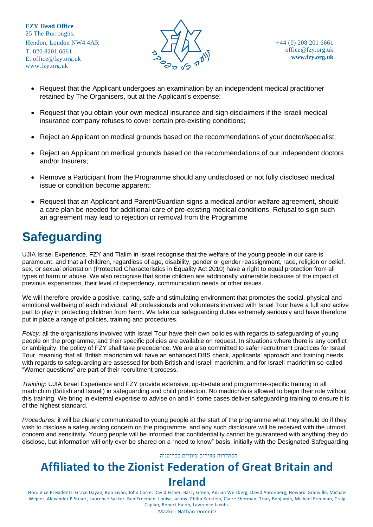

- Request that the Applicant undergoes an examination by an independent medical practitioner retained by The Organisers, but at the Applicant's expense;
- Request that you obtain your own medical insurance and sign disclaimers if the Israeli medical insurance company refuses to cover certain pre-existing conditions;
- Reject an Applicant on medical grounds based on the recommendations of your doctor/specialist;
- Reject an Applicant on medical grounds based on the recommendations of our independent doctors and/or Insurers;
- Remove a Participant from the Programme should any undisclosed or not fully disclosed medical issue or condition become apparent;
- <span id="page-9-0"></span>• Request that an Applicant and Parent/Guardian signs a medical and/or welfare agreement, should a care plan be needed for additional care of pre-existing medical conditions. Refusal to sign such an agreement may lead to rejection or removal from the Programme

# **Safeguarding**

UJIA Israel Experience, FZY and Tlalim in Israel recognise that the welfare of the young people in our care is paramount, and that all children, regardless of age, disability, gender or gender reassignment, race, religion or belief, sex, or sexual orientation (Protected Characteristics in Equality Act 2010) have a right to equal protection from all types of harm or abuse. We also recognise that some children are additionally vulnerable because of the impact of previous experiences, their level of dependency, communication needs or other issues.

We will therefore provide a positive, caring, safe and stimulating environment that promotes the social, physical and emotional wellbeing of each individual. All professionals and volunteers involved with Israel Tour have a full and active part to play in protecting children from harm. We take our safeguarding duties extremely seriously and have therefore put in place a range of policies, training and procedures.

*Policy:* all the organisations involved with Israel Tour have their own policies with regards to safeguarding of young people on the programme, and their specific policies are available on request. In situations where there is any conflict or ambiguity, the policy of FZY shall take precedence. We are also committed to safer recruitment practices for Israel Tour, meaning that all British madrichim will have an enhanced DBS check, applicants' approach and training needs with regards to safeguarding are assessed for both British and Israeli madrichim, and for Israeli madrichim so-called "Warner questions" are part of their recruitment process.

*Training*: UJIA Israel Experience and FZY provide extensive, up-to-date and programme-specific training to all madrichim (British and Israeli) in safeguarding and child protection. No madrich/a is allowed to begin their role without this training. We bring in external expertise to advise on and in some cases deliver safeguarding training to ensure it is of the highest standard.

*Procedures:* it will be clearly communicated to young people at the start of the programme what they should do if they wish to disclose a safeguarding concern on the programme, and any such disclosure will be received with the utmost concern and sensitivity. Young people will be informed that confidentiality cannot be guaranteed with anything they do disclose, but information will only ever be shared on a "need to know" basis, initially with the Designated Safeguarding

#### הסתדרות צעירים ציוניים בבריטניה

# **Affiliated to the Zionist Federation of Great Britain and Ireland**

Hon. Vice Presidents: Grace Dayan, Ron Sivan, John Corre, David Fisher, Barry Green, Adrian Weisberg, David Aaronberg, Howard Granville, Michael Wegier, Alexander P Stuart, Laurence Sacker, Ben Freeman, Louise Jacobs, Philip Kerstein, Claire Sherman, Tracy Benjamin, Michael Freeman, Craig Caplan, Robert Halon, Lawrence Jacobs.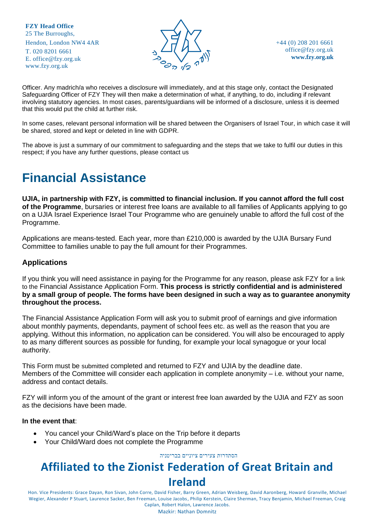

+44 (0) 208 201 6661 [office@fzy.org.uk](mailto:office@fzy.org.uk) **[www.fzy.org.uk](http://www.fzy.org.uk/)**

Officer. Any madrich/a who receives a disclosure will immediately, and at this stage only, contact the Designated Safeguarding Officer of FZY They will then make a determination of what, if anything, to do, including if relevant involving statutory agencies. In most cases, parents/guardians will be informed of a disclosure, unless it is deemed that this would put the child at further risk.

In some cases, relevant personal information will be shared between the Organisers of Israel Tour, in which case it will be shared, stored and kept or deleted in line with GDPR.

The above is just a summary of our commitment to safeguarding and the steps that we take to fulfil our duties in this respect; if you have any further questions, please contact us

# **Financial Assistance**

**UJIA, in partnership with FZY, is committed to financial inclusion. If you cannot afford the full cost of the Programme**, bursaries or interest free loans are available to all families of Applicants applying to go on a UJIA Israel Experience Israel Tour Programme who are genuinely unable to afford the full cost of the Programme.

Applications are means-tested. Each year, more than £210,000 is awarded by the UJIA Bursary Fund Committee to families unable to pay the full amount for their Programmes.

#### **Applications**

If you think you will need assistance in paying for the Programme for any reason, please ask FZY for a link to the Financial Assistance Application Form. **This process is strictly confidential and is administered by a small group of people. The forms have been designed in such a way as to guarantee anonymity throughout the process.** 

The Financial Assistance Application Form will ask you to submit proof of earnings and give information about monthly payments, dependants, payment of school fees etc. as well as the reason that you are applying. Without this information, no application can be considered. You will also be encouraged to apply to as many different sources as possible for funding, for example your local synagogue or your local authority.

This Form must be submitted completed and returned to FZY and UJIA by the deadline date. Members of the Committee will consider each application in complete anonymity – i.e. without your name, address and contact details.

FZY will inform you of the amount of the grant or interest free loan awarded by the UJIA and FZY as soon as the decisions have been made.

#### **In the event that**:

- You cancel your Child/Ward's place on the Trip before it departs
- Your Child/Ward does not complete the Programme

הסתדרות צעירים ציוניים בבריטניה

# **Affiliated to the Zionist Federation of Great Britain and Ireland**

Hon. Vice Presidents: Grace Dayan, Ron Sivan, John Corre, David Fisher, Barry Green, Adrian Weisberg, David Aaronberg, Howard Granville, Michael Wegier, Alexander P Stuart, Laurence Sacker, Ben Freeman, Louise Jacobs, Philip Kerstein, Claire Sherman, Tracy Benjamin, Michael Freeman, Craig Caplan, Robert Halon, Lawrence Jacobs.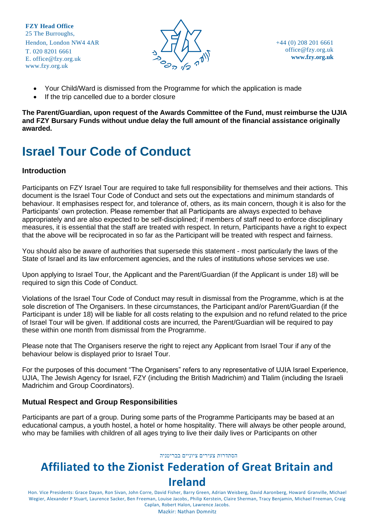

- Your Child/Ward is dismissed from the Programme for which the application is made
- If the trip cancelled due to a border closure

**The Parent/Guardian, upon request of the Awards Committee of the Fund, must reimburse the UJIA and FZY Bursary Funds without undue delay the full amount of the financial assistance originally awarded.**

# <span id="page-11-0"></span>**Israel Tour Code of Conduct**

#### **Introduction**

Participants on FZY Israel Tour are required to take full responsibility for themselves and their actions. This document is the Israel Tour Code of Conduct and sets out the expectations and minimum standards of behaviour. It emphasises respect for, and tolerance of, others, as its main concern, though it is also for the Participants' own protection. Please remember that all Participants are always expected to behave appropriately and are also expected to be self-disciplined; if members of staff need to enforce disciplinary measures, it is essential that the staff are treated with respect. In return, Participants have a right to expect that the above will be reciprocated in so far as the Participant will be treated with respect and fairness.

You should also be aware of authorities that supersede this statement - most particularly the laws of the State of Israel and its law enforcement agencies, and the rules of institutions whose services we use.

Upon applying to Israel Tour, the Applicant and the Parent/Guardian (if the Applicant is under 18) will be required to sign this Code of Conduct.

Violations of the Israel Tour Code of Conduct may result in dismissal from the Programme, which is at the sole discretion of The Organisers. In these circumstances, the Participant and/or Parent/Guardian (if the Participant is under 18) will be liable for all costs relating to the expulsion and no refund related to the price of Israel Tour will be given. If additional costs are incurred, the Parent/Guardian will be required to pay these within one month from dismissal from the Programme.

Please note that The Organisers reserve the right to reject any Applicant from Israel Tour if any of the behaviour below is displayed prior to Israel Tour.

For the purposes of this document "The Organisers" refers to any representative of UJIA Israel Experience, UJIA, The Jewish Agency for Israel, FZY (including the British Madrichim) and Tlalim (including the Israeli Madrichim and Group Coordinators).

#### **Mutual Respect and Group Responsibilities**

Participants are part of a group. During some parts of the Programme Participants may be based at an educational campus, a youth hostel, a hotel or home hospitality. There will always be other people around, who may be families with children of all ages trying to live their daily lives or Participants on other

#### הסתדרות צעירים ציוניים בבריטניה

# **Affiliated to the Zionist Federation of Great Britain and Ireland**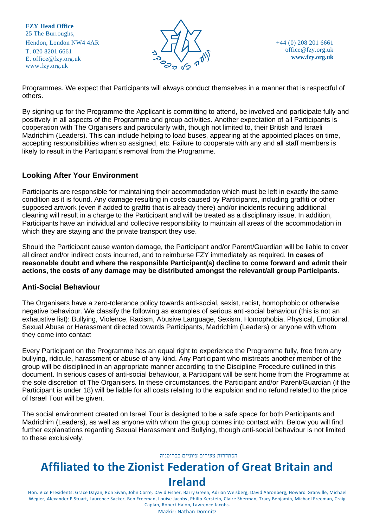

+44 (0) 208 201 6661 [office@fzy.org.uk](mailto:office@fzy.org.uk) **[www.fzy.org.uk](http://www.fzy.org.uk/)**

Programmes. We expect that Participants will always conduct themselves in a manner that is respectful of others.

By signing up for the Programme the Applicant is committing to attend, be involved and participate fully and positively in all aspects of the Programme and group activities. Another expectation of all Participants is cooperation with The Organisers and particularly with, though not limited to, their British and Israeli Madrichim (Leaders). This can include helping to load buses, appearing at the appointed places on time, accepting responsibilities when so assigned, etc. Failure to cooperate with any and all staff members is likely to result in the Participant's removal from the Programme.

#### **Looking After Your Environment**

Participants are responsible for maintaining their accommodation which must be left in exactly the same condition as it is found. Any damage resulting in costs caused by Participants, including graffiti or other supposed artwork (even if added to graffiti that is already there) and/or incidents requiring additional cleaning will result in a charge to the Participant and will be treated as a disciplinary issue. In addition, Participants have an individual and collective responsibility to maintain all areas of the accommodation in which they are staying and the private transport they use.

Should the Participant cause wanton damage, the Participant and/or Parent/Guardian will be liable to cover all direct and/or indirect costs incurred, and to reimburse FZY immediately as required. **In cases of reasonable doubt and where the responsible Participant(s) decline to come forward and admit their actions, the costs of any damage may be distributed amongst the relevant/all group Participants.**

#### **Anti-Social Behaviour**

The Organisers have a zero-tolerance policy towards anti-social, sexist, racist, homophobic or otherwise negative behaviour. We classify the following as examples of serious anti-social behaviour (this is not an exhaustive list): Bullying, Violence, Racism, Abusive Language, Sexism, Homophobia, Physical, Emotional, Sexual Abuse or Harassment directed towards Participants, Madrichim (Leaders) or anyone with whom they come into contact

Every Participant on the Programme has an equal right to experience the Programme fully, free from any bullying, ridicule, harassment or abuse of any kind. Any Participant who mistreats another member of the group will be disciplined in an appropriate manner according to the Discipline Procedure outlined in this document. In serious cases of anti-social behaviour, a Participant will be sent home from the Programme at the sole discretion of The Organisers. In these circumstances, the Participant and/or Parent/Guardian (if the Participant is under 18) will be liable for all costs relating to the expulsion and no refund related to the price of Israel Tour will be given.

The social environment created on Israel Tour is designed to be a safe space for both Participants and Madrichim (Leaders), as well as anyone with whom the group comes into contact with. Below you will find further explanations regarding Sexual Harassment and Bullying, though anti-social behaviour is not limited to these exclusively.

#### הסתדרות צעירים ציוניים בבריטניה

# **Affiliated to the Zionist Federation of Great Britain and Ireland**

Hon. Vice Presidents: Grace Dayan, Ron Sivan, John Corre, David Fisher, Barry Green, Adrian Weisberg, David Aaronberg, Howard Granville, Michael Wegier, Alexander P Stuart, Laurence Sacker, Ben Freeman, Louise Jacobs, Philip Kerstein, Claire Sherman, Tracy Benjamin, Michael Freeman, Craig Caplan, Robert Halon, Lawrence Jacobs.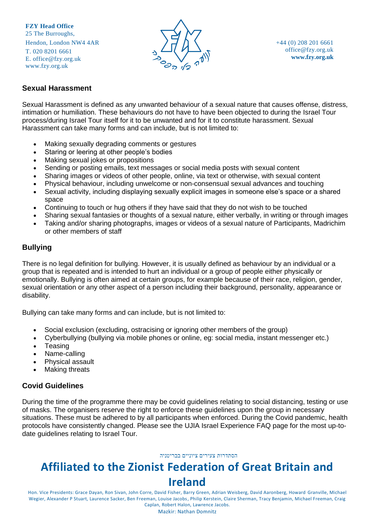

#### **Sexual Harassment**

Sexual Harassment is defined as any unwanted behaviour of a sexual nature that causes offense, distress, intimation or humiliation. These behaviours do not have to have been objected to during the Israel Tour process/during Israel Tour itself for it to be unwanted and for it to constitute harassment. Sexual Harassment can take many forms and can include, but is not limited to:

- Making sexually degrading comments or gestures
- Staring or leering at other people's bodies
- Making sexual jokes or propositions
- Sending or posting emails, text messages or social media posts with sexual content
- Sharing images or videos of other people, online, via text or otherwise, with sexual content
- Physical behaviour, including unwelcome or non-consensual sexual advances and touching
- Sexual activity, including displaying sexually explicit images in someone else's space or a shared space
- Continuing to touch or hug others if they have said that they do not wish to be touched
- Sharing sexual fantasies or thoughts of a sexual nature, either verbally, in writing or through images
- Taking and/or sharing photographs, images or videos of a sexual nature of Participants, Madrichim or other members of staff

#### **Bullying**

There is no legal definition for bullying. However, it is usually defined as behaviour by an individual or a group that is repeated and is intended to hurt an individual or a group of people either physically or emotionally. Bullying is often aimed at certain groups, for example because of their race, religion, gender, sexual orientation or any other aspect of a person including their background, personality, appearance or disability.

Bullying can take many forms and can include, but is not limited to:

- Social exclusion (excluding, ostracising or ignoring other members of the group)
- Cyberbullying (bullying via mobile phones or online, eg: social media, instant messenger etc.)
- Teasing
- Name-calling
- Physical assault
- **Making threats**

#### **Covid Guidelines**

During the time of the programme there may be covid guidelines relating to social distancing, testing or use of masks. The organisers reserve the right to enforce these guidelines upon the group in necessary situations. These must be adhered to by all participants when enforced. During the Covid pandemic, health protocols have consistently changed. Please see the UJIA Israel Experience FAQ page for the most up-todate guidelines relating to Israel Tour.

#### הסתדרות צעירים ציוניים בבריטניה

# **Affiliated to the Zionist Federation of Great Britain and Ireland**

Hon. Vice Presidents: Grace Dayan, Ron Sivan, John Corre, David Fisher, Barry Green, Adrian Weisberg, David Aaronberg, Howard Granville, Michael Wegier, Alexander P Stuart, Laurence Sacker, Ben Freeman, Louise Jacobs, Philip Kerstein, Claire Sherman, Tracy Benjamin, Michael Freeman, Craig Caplan, Robert Halon, Lawrence Jacobs.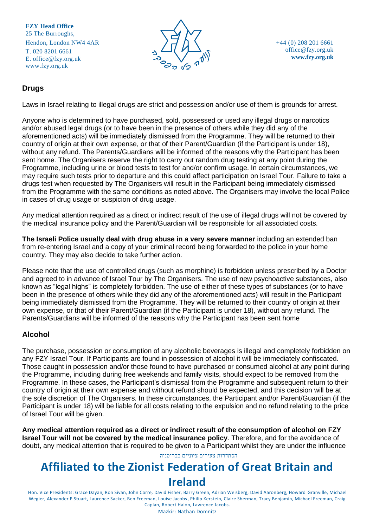

+44 (0) 208 201 6661 [office@fzy.org.uk](mailto:office@fzy.org.uk) **[www.fzy.org.uk](http://www.fzy.org.uk/)**

#### **Drugs**

Laws in Israel relating to illegal drugs are strict and possession and/or use of them is grounds for arrest.

Anyone who is determined to have purchased, sold, possessed or used any illegal drugs or narcotics and/or abused legal drugs (or to have been in the presence of others while they did any of the aforementioned acts) will be immediately dismissed from the Programme. They will be returned to their country of origin at their own expense, or that of their Parent/Guardian (if the Participant is under 18), without any refund. The Parents/Guardians will be informed of the reasons why the Participant has been sent home. The Organisers reserve the right to carry out random drug testing at any point during the Programme, including urine or blood tests to test for and/or confirm usage. In certain circumstances, we may require such tests prior to departure and this could affect participation on Israel Tour. Failure to take a drugs test when requested by The Organisers will result in the Participant being immediately dismissed from the Programme with the same conditions as noted above. The Organisers may involve the local Police in cases of drug usage or suspicion of drug usage.

Any medical attention required as a direct or indirect result of the use of illegal drugs will not be covered by the medical insurance policy and the Parent/Guardian will be responsible for all associated costs.

**The Israeli Police usually deal with drug abuse in a very severe manner** including an extended ban from re-entering Israel and a copy of your criminal record being forwarded to the police in your home country. They may also decide to take further action.

Please note that the use of controlled drugs (such as morphine) is forbidden unless prescribed by a Doctor and agreed to in advance of Israel Tour by The Organisers. The use of new psychoactive substances, also known as "legal highs" is completely forbidden. The use of either of these types of substances (or to have been in the presence of others while they did any of the aforementioned acts) will result in the Participant being immediately dismissed from the Programme. They will be returned to their country of origin at their own expense, or that of their Parent/Guardian (if the Participant is under 18), without any refund. The Parents/Guardians will be informed of the reasons why the Participant has been sent home

#### **Alcohol**

The purchase, possession or consumption of any alcoholic beverages is illegal and completely forbidden on any FZY Israel Tour. If Participants are found in possession of alcohol it will be immediately confiscated. Those caught in possession and/or those found to have purchased or consumed alcohol at any point during the Programme, including during free weekends and family visits, should expect to be removed from the Programme. In these cases, the Participant's dismissal from the Programme and subsequent return to their country of origin at their own expense and without refund should be expected, and this decision will be at the sole discretion of The Organisers. In these circumstances, the Participant and/or Parent/Guardian (if the Participant is under 18) will be liable for all costs relating to the expulsion and no refund relating to the price of Israel Tour will be given.

**Any medical attention required as a direct or indirect result of the consumption of alcohol on FZY Israel Tour will not be covered by the medical insurance policy**. Therefore, and for the avoidance of doubt, any medical attention that is required to be given to a Participant whilst they are under the influence

#### הסתדרות צעירים ציוניים בבריטניה

# **Affiliated to the Zionist Federation of Great Britain and**

### **Ireland**

Hon. Vice Presidents: Grace Dayan, Ron Sivan, John Corre, David Fisher, Barry Green, Adrian Weisberg, David Aaronberg, Howard Granville, Michael Wegier, Alexander P Stuart, Laurence Sacker, Ben Freeman, Louise Jacobs, Philip Kerstein, Claire Sherman, Tracy Benjamin, Michael Freeman, Craig Caplan, Robert Halon, Lawrence Jacobs.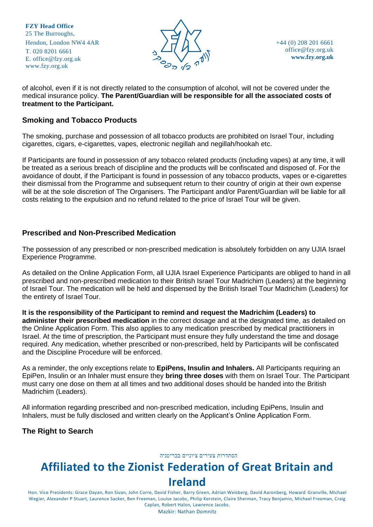

of alcohol, even if it is not directly related to the consumption of alcohol, will not be covered under the medical insurance policy. **The Parent/Guardian will be responsible for all the associated costs of treatment to the Participant.** 

#### **Smoking and Tobacco Products**

The smoking, purchase and possession of all tobacco products are prohibited on Israel Tour, including cigarettes, cigars, e-cigarettes, vapes, electronic negillah and negillah/hookah etc.

If Participants are found in possession of any tobacco related products (including vapes) at any time, it will be treated as a serious breach of discipline and the products will be confiscated and disposed of. For the avoidance of doubt, if the Participant is found in possession of any tobacco products, vapes or e-cigarettes their dismissal from the Programme and subsequent return to their country of origin at their own expense will be at the sole discretion of The Organisers. The Participant and/or Parent/Guardian will be liable for all costs relating to the expulsion and no refund related to the price of Israel Tour will be given.

#### **Prescribed and Non-Prescribed Medication**

The possession of any prescribed or non-prescribed medication is absolutely forbidden on any UJIA Israel Experience Programme.

As detailed on the Online Application Form, all UJIA Israel Experience Participants are obliged to hand in all prescribed and non-prescribed medication to their British Israel Tour Madrichim (Leaders) at the beginning of Israel Tour. The medication will be held and dispensed by the British Israel Tour Madrichim (Leaders) for the entirety of Israel Tour.

**It is the responsibility of the Participant to remind and request the Madrichim (Leaders) to administer their prescribed medication** in the correct dosage and at the designated time, as detailed on the Online Application Form. This also applies to any medication prescribed by medical practitioners in Israel. At the time of prescription, the Participant must ensure they fully understand the time and dosage required. Any medication, whether prescribed or non-prescribed, held by Participants will be confiscated and the Discipline Procedure will be enforced.

As a reminder, the only exceptions relate to **EpiPens, Insulin and Inhalers.** All Participants requiring an EpiPen, Insulin or an Inhaler must ensure they **bring three doses** with them on Israel Tour. The Participant must carry one dose on them at all times and two additional doses should be handed into the British Madrichim (Leaders).

All information regarding prescribed and non-prescribed medication, including EpiPens, Insulin and Inhalers, must be fully disclosed and written clearly on the Applicant's Online Application Form.

**The Right to Search**

הסתדרות צעירים ציוניים בבריטניה

# **Affiliated to the Zionist Federation of Great Britain and Ireland**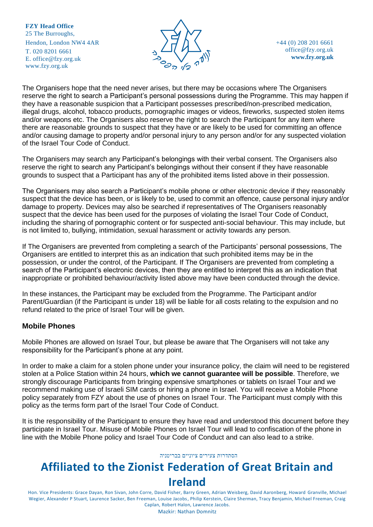

+44 (0) 208 201 6661 [office@fzy.org.uk](mailto:office@fzy.org.uk) **[www.fzy.org.uk](http://www.fzy.org.uk/)**

The Organisers hope that the need never arises, but there may be occasions where The Organisers reserve the right to search a Participant's personal possessions during the Programme. This may happen if they have a reasonable suspicion that a Participant possesses prescribed/non-prescribed medication, illegal drugs, alcohol, tobacco products, pornographic images or videos, fireworks, suspected stolen items and/or weapons etc. The Organisers also reserve the right to search the Participant for any item where there are reasonable grounds to suspect that they have or are likely to be used for committing an offence and/or causing damage to property and/or personal injury to any person and/or for any suspected violation of the Israel Tour Code of Conduct.

The Organisers may search any Participant's belongings with their verbal consent. The Organisers also reserve the right to search any Participant's belongings without their consent if they have reasonable grounds to suspect that a Participant has any of the prohibited items listed above in their possession.

The Organisers may also search a Participant's mobile phone or other electronic device if they reasonably suspect that the device has been, or is likely to be, used to commit an offence, cause personal injury and/or damage to property. Devices may also be searched if representatives of The Organisers reasonably suspect that the device has been used for the purposes of violating the Israel Tour Code of Conduct, including the sharing of pornographic content or for suspected anti-social behaviour. This may include, but is not limited to, bullying, intimidation, sexual harassment or activity towards any person.

If The Organisers are prevented from completing a search of the Participants' personal possessions, The Organisers are entitled to interpret this as an indication that such prohibited items may be in the possession, or under the control, of the Participant. If The Organisers are prevented from completing a search of the Participant's electronic devices, then they are entitled to interpret this as an indication that inappropriate or prohibited behaviour/activity listed above may have been conducted through the device.

In these instances, the Participant may be excluded from the Programme. The Participant and/or Parent/Guardian (if the Participant is under 18) will be liable for all costs relating to the expulsion and no refund related to the price of Israel Tour will be given.

#### **Mobile Phones**

Mobile Phones are allowed on Israel Tour, but please be aware that The Organisers will not take any responsibility for the Participant's phone at any point.

In order to make a claim for a stolen phone under your insurance policy, the claim will need to be registered stolen at a Police Station within 24 hours, **which we cannot guarantee will be possible**. Therefore, we strongly discourage Participants from bringing expensive smartphones or tablets on Israel Tour and we recommend making use of Israeli SIM cards or hiring a phone in Israel. You will receive a Mobile Phone policy separately from FZY about the use of phones on Israel Tour. The Participant must comply with this policy as the terms form part of the Israel Tour Code of Conduct.

It is the responsibility of the Participant to ensure they have read and understood this document before they participate in Israel Tour. Misuse of Mobile Phones on Israel Tour will lead to confiscation of the phone in line with the Mobile Phone policy and Israel Tour Code of Conduct and can also lead to a strike.

#### הסתדרות צעירים ציוניים בבריטניה

# **Affiliated to the Zionist Federation of Great Britain and**

**Ireland**

Hon. Vice Presidents: Grace Dayan, Ron Sivan, John Corre, David Fisher, Barry Green, Adrian Weisberg, David Aaronberg, Howard Granville, Michael Wegier, Alexander P Stuart, Laurence Sacker, Ben Freeman, Louise Jacobs, Philip Kerstein, Claire Sherman, Tracy Benjamin, Michael Freeman, Craig Caplan, Robert Halon, Lawrence Jacobs.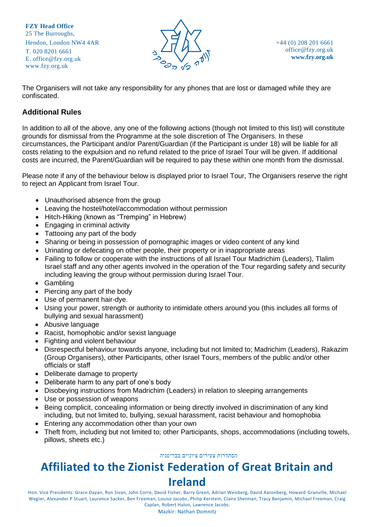

The Organisers will not take any responsibility for any phones that are lost or damaged while they are confiscated.

#### **Additional Rules**

In addition to all of the above, any one of the following actions (though not limited to this list) will constitute grounds for dismissal from the Programme at the sole discretion of The Organisers. In these circumstances, the Participant and/or Parent/Guardian (if the Participant is under 18) will be liable for all costs relating to the expulsion and no refund related to the price of Israel Tour will be given. If additional costs are incurred, the Parent/Guardian will be required to pay these within one month from the dismissal.

Please note if any of the behaviour below is displayed prior to Israel Tour, The Organisers reserve the right to reject an Applicant from Israel Tour.

- Unauthorised absence from the group
- Leaving the hostel/hotel/accommodation without permission
- Hitch-Hiking (known as "Tremping" in Hebrew)
- Engaging in criminal activity
- Tattooing any part of the body
- Sharing or being in possession of pornographic images or video content of any kind
- Urinating or defecating on other people, their property or in inappropriate areas
- Failing to follow or cooperate with the instructions of all Israel Tour Madrichim (Leaders), Tlalim Israel staff and any other agents involved in the operation of the Tour regarding safety and security including leaving the group without permission during Israel Tour.
- Gambling
- Piercing any part of the body
- Use of permanent hair-dye.
- Using your power, strength or authority to intimidate others around you (this includes all forms of bullying and sexual harassment)
- Abusive language
- Racist, homophobic and/or sexist language
- Fighting and violent behaviour
- Disrespectful behaviour towards anyone, including but not limited to; Madrichim (Leaders), Rakazim (Group Organisers), other Participants, other Israel Tours, members of the public and/or other officials or staff
- Deliberate damage to property
- Deliberate harm to any part of one's body
- Disobeying instructions from Madrichim (Leaders) in relation to sleeping arrangements
- Use or possession of weapons
- Being complicit, concealing information or being directly involved in discrimination of any kind including, but not limited to, bullying, sexual harassment, racist behaviour and homophobia
- Entering any accommodation other than your own
- Theft from, including but not limited to; other Participants, shops, accommodations (including towels, pillows, sheets etc.)

#### הסתדרות צעירים ציוניים בבריטניה

# **Affiliated to the Zionist Federation of Great Britain and Ireland**

Hon. Vice Presidents: Grace Dayan, Ron Sivan, John Corre, David Fisher, Barry Green, Adrian Weisberg, David Aaronberg, Howard Granville, Michael Wegier, Alexander P Stuart, Laurence Sacker, Ben Freeman, Louise Jacobs, Philip Kerstein, Claire Sherman, Tracy Benjamin, Michael Freeman, Craig Caplan, Robert Halon, Lawrence Jacobs.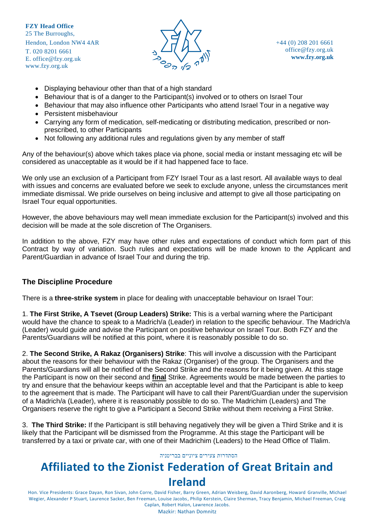

- Displaying behaviour other than that of a high standard
- Behaviour that is of a danger to the Participant(s) involved or to others on Israel Tour
- Behaviour that may also influence other Participants who attend Israel Tour in a negative way
- Persistent misbehaviour
- Carrying any form of medication, self-medicating or distributing medication, prescribed or nonprescribed, to other Participants
- Not following any additional rules and regulations given by any member of staff

Any of the behaviour(s) above which takes place via phone, social media or instant messaging etc will be considered as unacceptable as it would be if it had happened face to face.

We only use an exclusion of a Participant from FZY Israel Tour as a last resort. All available ways to deal with issues and concerns are evaluated before we seek to exclude anyone, unless the circumstances merit immediate dismissal. We pride ourselves on being inclusive and attempt to give all those participating on Israel Tour equal opportunities.

However, the above behaviours may well mean immediate exclusion for the Participant(s) involved and this decision will be made at the sole discretion of The Organisers.

In addition to the above, FZY may have other rules and expectations of conduct which form part of this Contract by way of variation. Such rules and expectations will be made known to the Applicant and Parent/Guardian in advance of Israel Tour and during the trip.

#### **The Discipline Procedure**

There is a **three-strike system** in place for dealing with unacceptable behaviour on Israel Tour:

1. **The First Strike, A Tsevet (Group Leaders) Strike:** This is a verbal warning where the Participant would have the chance to speak to a Madrich/a (Leader) in relation to the specific behaviour. The Madrich/a (Leader) would guide and advise the Participant on positive behaviour on Israel Tour. Both FZY and the Parents/Guardians will be notified at this point, where it is reasonably possible to do so.

2. **The Second Strike, A Rakaz (Organisers) Strike**: This will involve a discussion with the Participant about the reasons for their behaviour with the Rakaz (Organiser) of the group. The Organisers and the Parents/Guardians will all be notified of the Second Strike and the reasons for it being given. At this stage the Participant is now on their second and **final** Strike. Agreements would be made between the parties to try and ensure that the behaviour keeps within an acceptable level and that the Participant is able to keep to the agreement that is made. The Participant will have to call their Parent/Guardian under the supervision of a Madrich/a (Leader), where it is reasonably possible to do so. The Madrichim (Leaders) and The Organisers reserve the right to give a Participant a Second Strike without them receiving a First Strike.

3. **The Third Strike:** If the Participant is still behaving negatively they will be given a Third Strike and it is likely that the Participant will be dismissed from the Programme. At this stage the Participant will be transferred by a taxi or private car, with one of their Madrichim (Leaders) to the Head Office of Tlalim.

#### הסתדרות צעירים ציוניים בבריטניה

# **Affiliated to the Zionist Federation of Great Britain and**

### **Ireland**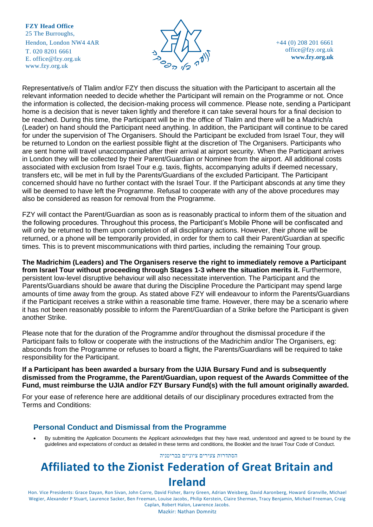

+44 (0) 208 201 6661 [office@fzy.org.uk](mailto:office@fzy.org.uk) **[www.fzy.org.uk](http://www.fzy.org.uk/)**

Representative/s of Tlalim and/or FZY then discuss the situation with the Participant to ascertain all the relevant information needed to decide whether the Participant will remain on the Programme or not. Once the information is collected, the decision-making process will commence. Please note, sending a Participant home is a decision that is never taken lightly and therefore it can take several hours for a final decision to be reached. During this time, the Participant will be in the office of Tlalim and there will be a Madrich/a (Leader) on hand should the Participant need anything. In addition, the Participant will continue to be cared for under the supervision of The Organisers. Should the Participant be excluded from Israel Tour, they will be returned to London on the earliest possible flight at the discretion of The Organisers. Participants who are sent home will travel unaccompanied after their arrival at airport security. When the Participant arrives in London they will be collected by their Parent/Guardian or Nominee from the airport. All additional costs associated with exclusion from Israel Tour e.g. taxis, flights, accompanying adults if deemed necessary, transfers etc, will be met in full by the Parents/Guardians of the excluded Participant. The Participant concerned should have no further contact with the Israel Tour. If the Participant absconds at any time they will be deemed to have left the Programme. Refusal to cooperate with any of the above procedures may also be considered as reason for removal from the Programme.

FZY will contact the Parent/Guardian as soon as is reasonably practical to inform them of the situation and the following procedures. Throughout this process, the Participant's Mobile Phone will be confiscated and will only be returned to them upon completion of all disciplinary actions. However, their phone will be returned, or a phone will be temporarily provided, in order for them to call their Parent/Guardian at specific times. This is to prevent miscommunications with third parties, including the remaining Tour group.

**The Madrichim (Leaders) and The Organisers reserve the right to immediately remove a Participant from Israel Tour without proceeding through Stages 1-3 where the situation merits it.** Furthermore, persistent low-level disruptive behaviour will also necessitate intervention. The Participant and the Parents/Guardians should be aware that during the Discipline Procedure the Participant may spend large amounts of time away from the group. As stated above FZY will endeavour to inform the Parents/Guardians if the Participant receives a strike within a reasonable time frame. However, there may be a scenario where it has not been reasonably possible to inform the Parent/Guardian of a Strike before the Participant is given another Strike.

Please note that for the duration of the Programme and/or throughout the dismissal procedure if the Participant fails to follow or cooperate with the instructions of the Madrichim and/or The Organisers, eg: absconds from the Programme or refuses to board a flight, the Parents/Guardians will be required to take responsibility for the Participant.

#### **If a Participant has been awarded a bursary from the UJIA Bursary Fund and is subsequently dismissed from the Programme, the Parent/Guardian, upon request of the Awards Committee of the Fund, must reimburse the UJIA and/or FZY Bursary Fund(s) with the full amount originally awarded.**

For your ease of reference here are additional details of our disciplinary procedures extracted from the Terms and Conditions:

#### **Personal Conduct and Dismissal from the Programme**

• By submitting the Application Documents the Applicant acknowledges that they have read, understood and agreed to be bound by the guidelines and expectations of conduct as detailed in these terms and conditions, the Booklet and the Israel Tour Code of Conduct.

#### הסתדרות צעירים ציוניים בבריטניה

# **Affiliated to the Zionist Federation of Great Britain and Ireland**

Hon. Vice Presidents: Grace Dayan, Ron Sivan, John Corre, David Fisher, Barry Green, Adrian Weisberg, David Aaronberg, Howard Granville, Michael Wegier, Alexander P Stuart, Laurence Sacker, Ben Freeman, Louise Jacobs, Philip Kerstein, Claire Sherman, Tracy Benjamin, Michael Freeman, Craig Caplan, Robert Halon, Lawrence Jacobs.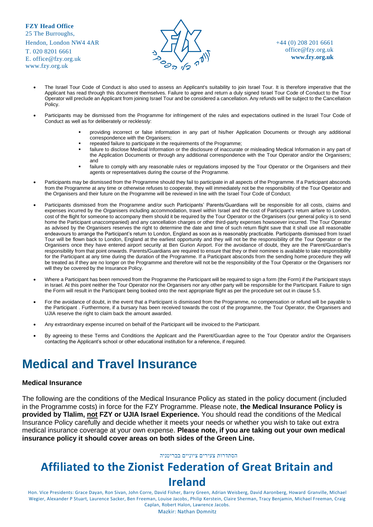T. 020 8201 6661 E. [office@fzy.org.uk](mailto:office@fzy.org.uk) [www.fzy.org.uk](http://www.fzy.org.uk/)



+44 (0) 208 201 6661 [office@fzy.org.uk](mailto:office@fzy.org.uk) **[www.fzy.org.uk](http://www.fzy.org.uk/)**

- The Israel Tour Code of Conduct is also used to assess an Applicant's suitability to join Israel Tour. It is therefore imperative that the Applicant has read through this document themselves. Failure to agree and return a duly signed Israel Tour Code of Conduct to the Tour Operator will preclude an Applicant from joining Israel Tour and be considered a cancellation. Any refunds will be subject to the Cancellation Policy.
- Participants may be dismissed from the Programme for infringement of the rules and expectations outlined in the Israel Tour Code of Conduct as well as for deliberately or recklessly:
	- providing incorrect or false information in any part of his/her Application Documents or through any additional correspondence with the Organisers;
	- repeated failure to participate in the requirements of the Programme;
	- failure to disclose Medical Information or the disclosure of inaccurate or misleading Medical Information in any part of the Application Documents or through any additional correspondence with the Tour Operator and/or the Organisers; and
	- failure to comply with any reasonable rules or regulations imposed by the Tour Operator or the Organisers and their agents or representatives during the course of the Programme.
- Participants may be dismissed from the Programme should they fail to participate in all aspects of the Programme. If a Participant absconds from the Programme at any time or otherwise refuses to cooperate, they will immediately not be the responsibility of the Tour Operator and the Organisers and their future on the Programme will be reviewed in line with the Israel Tour Code of Conduct.
- Participants dismissed from the Programme and/or such Participants' Parents/Guardians will be responsible for all costs, claims and expenses incurred by the Organisers including accommodation, travel within Israel and the cost of Participant's return airfare to London, cost of the flight for someone to accompany them should it be required by the Tour Operator or the Organisers (our general policy is to send home the Participant unaccompanied) and any cancellation charges or other third-party expenses howsoever incurred. The Tour Operator as advised by the Organisers reserves the right to determine the date and time of such return flight save that it shall use all reasonable endeavours to arrange the Participant's return to London, England as soon as is reasonably practicable. Participants dismissed from Israel Tour will be flown back to London, England at the earliest opportunity and they will not be the responsibility of the Tour Operator or the Organisers once they have entered airport security at Ben Gurion Airport. For the avoidance of doubt, they are the Parent/Guardian's responsibility from that point onwards. Parents/Guardians are required to ensure that they or their nominee is available to take responsibility for the Participant at any time during the duration of the Programme. If a Participant absconds from the sending home procedure they will be treated as if they are no longer on the Programme and therefore will not be the responsibility of the Tour Operator or the Organisers nor will they be covered by the Insurance Policy.
- Where a Participant has been removed from the Programme the Participant will be required to sign a form (the Form) if the Participant stays in Israel. At this point neither the Tour Operator nor the Organisers nor any other party will be responsible for the Participant. Failure to sign the Form will result in the Participant being booked onto the next appropriate flight as per the procedure set out in clause 5.5.
- For the avoidance of doubt, in the event that a Participant is dismissed from the Programme, no compensation or refund will be payable to the Participant . Furthermore, if a bursary has been received towards the cost of the programme, the Tour Operator, the Organisers and UJIA reserve the right to claim back the amount awarded.
- Any extraordinary expense incurred on behalf of the Participant will be invoiced to the Participant.
- By agreeing to these Terms and Conditions the Applicant and the Parent/Guardian agree to the Tour Operator and/or the Organisers contacting the Applicant's school or other educational institution for a reference, if required.

# **Medical and Travel Insurance**

#### **Medical Insurance**

The following are the conditions of the Medical Insurance Policy as stated in the policy document (included in the Programme costs) in force for the FZY Programme. Please note, **the Medical Insurance Policy is provided by Tlalim, not FZY or UJIA Israel Experience.** You should read the conditions of the Medical Insurance Policy carefully and decide whether it meets your needs or whether you wish to take out extra medical insurance coverage at your own expense. **Please note, if you are taking out your own medical insurance policy it should cover areas on both sides of the Green Line.**

#### הסתדרות צעירים ציוניים בבריטניה

# **Affiliated to the Zionist Federation of Great Britain and**

#### **Ireland**

Hon. Vice Presidents: Grace Dayan, Ron Sivan, John Corre, David Fisher, Barry Green, Adrian Weisberg, David Aaronberg, Howard Granville, Michael Wegier, Alexander P Stuart, Laurence Sacker, Ben Freeman, Louise Jacobs, Philip Kerstein, Claire Sherman, Tracy Benjamin, Michael Freeman, Craig Caplan, Robert Halon, Lawrence Jacobs.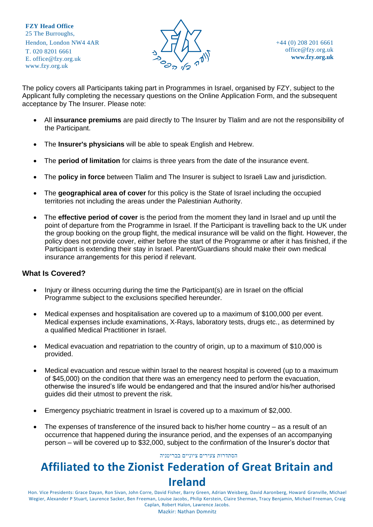

The policy covers all Participants taking part in Programmes in Israel, organised by FZY, subject to the Applicant fully completing the necessary questions on the Online Application Form, and the subsequent acceptance by The Insurer. Please note:

- All **insurance premiums** are paid directly to The Insurer by Tlalim and are not the responsibility of the Participant.
- The **Insurer's physicians** will be able to speak English and Hebrew.
- The **period of limitation** for claims is three years from the date of the insurance event.
- The **policy in force** between Tlalim and The Insurer is subject to Israeli Law and jurisdiction.
- The **geographical area of cover** for this policy is the State of Israel including the occupied territories not including the areas under the Palestinian Authority.
- The **effective period of cover** is the period from the moment they land in Israel and up until the point of departure from the Programme in Israel. If the Participant is travelling back to the UK under the group booking on the group flight, the medical insurance will be valid on the flight. However, the policy does not provide cover, either before the start of the Programme or after it has finished, if the Participant is extending their stay in Israel. Parent/Guardians should make their own medical insurance arrangements for this period if relevant.

#### **What Is Covered?**

- Injury or illness occurring during the time the Participant(s) are in Israel on the official Programme subject to the exclusions specified hereunder.
- Medical expenses and hospitalisation are covered up to a maximum of \$100,000 per event. Medical expenses include examinations, X-Rays, laboratory tests, drugs etc., as determined by a qualified Medical Practitioner in Israel.
- Medical evacuation and repatriation to the country of origin, up to a maximum of \$10,000 is provided.
- Medical evacuation and rescue within Israel to the nearest hospital is covered (up to a maximum of \$45,000) on the condition that there was an emergency need to perform the evacuation, otherwise the insured's life would be endangered and that the insured and/or his/her authorised guides did their utmost to prevent the risk.
- Emergency psychiatric treatment in Israel is covered up to a maximum of \$2,000.
- The expenses of transference of the insured back to his/her home country  $-$  as a result of an occurrence that happened during the insurance period, and the expenses of an accompanying person – will be covered up to \$32,000, subject to the confirmation of the Insurer's doctor that

#### הסתדרות צעירים ציוניים בבריטניה

# **Affiliated to the Zionist Federation of Great Britain and Ireland**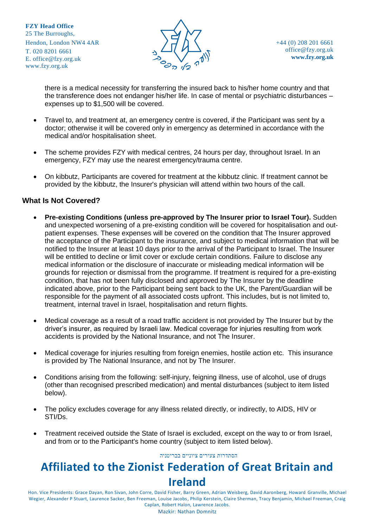

there is a medical necessity for transferring the insured back to his/her home country and that the transference does not endanger his/her life. In case of mental or psychiatric disturbances – expenses up to \$1,500 will be covered.

- Travel to, and treatment at, an emergency centre is covered, if the Participant was sent by a doctor; otherwise it will be covered only in emergency as determined in accordance with the medical and/or hospitalisation sheet.
- The scheme provides FZY with medical centres, 24 hours per day, throughout Israel. In an emergency, FZY may use the nearest emergency/trauma centre.
- On kibbutz, Participants are covered for treatment at the kibbutz clinic. If treatment cannot be provided by the kibbutz, the Insurer's physician will attend within two hours of the call.

#### **What Is Not Covered?**

- **Pre-existing Conditions (unless pre-approved by The Insurer prior to Israel Tour).** Sudden and unexpected worsening of a pre-existing condition will be covered for hospitalisation and outpatient expenses. These expenses will be covered on the condition that The Insurer approved the acceptance of the Participant to the insurance, and subject to medical information that will be notified to the Insurer at least 10 days prior to the arrival of the Participant to Israel. The Insurer will be entitled to decline or limit cover or exclude certain conditions. Failure to disclose any medical information or the disclosure of inaccurate or misleading medical information will be grounds for rejection or dismissal from the programme. If treatment is required for a pre-existing condition, that has not been fully disclosed and approved by The Insurer by the deadline indicated above, prior to the Participant being sent back to the UK, the Parent/Guardian will be responsible for the payment of all associated costs upfront. This includes, but is not limited to, treatment, internal travel in Israel, hospitalisation and return flights.
- Medical coverage as a result of a road traffic accident is not provided by The Insurer but by the driver's insurer, as required by Israeli law. Medical coverage for injuries resulting from work accidents is provided by the National Insurance, and not The Insurer.
- Medical coverage for injuries resulting from foreign enemies, hostile action etc. This insurance is provided by The National Insurance, and not by The Insurer.
- Conditions arising from the following: self-injury, feigning illness, use of alcohol, use of drugs (other than recognised prescribed medication) and mental disturbances (subject to item listed below).
- The policy excludes coverage for any illness related directly, or indirectly, to AIDS, HIV or STI/Ds.
- Treatment received outside the State of Israel is excluded, except on the way to or from Israel, and from or to the Participant's home country (subject to item listed below).

#### הסתדרות צעירים ציוניים בבריטניה

# **Affiliated to the Zionist Federation of Great Britain and Ireland**

Hon. Vice Presidents: Grace Dayan, Ron Sivan, John Corre, David Fisher, Barry Green, Adrian Weisberg, David Aaronberg, Howard Granville, Michael Wegier, Alexander P Stuart, Laurence Sacker, Ben Freeman, Louise Jacobs, Philip Kerstein, Claire Sherman, Tracy Benjamin, Michael Freeman, Craig Caplan, Robert Halon, Lawrence Jacobs.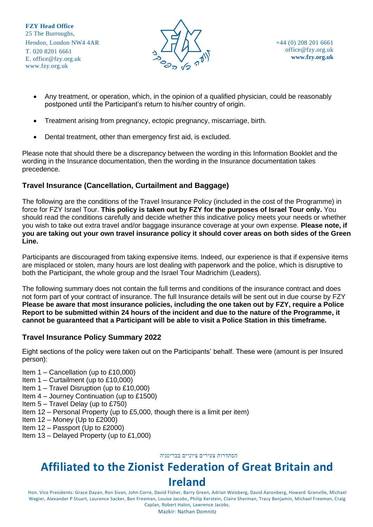

- Any treatment, or operation, which, in the opinion of a qualified physician, could be reasonably postponed until the Participant's return to his/her country of origin.
- Treatment arising from pregnancy, ectopic pregnancy, miscarriage, birth.
- Dental treatment, other than emergency first aid, is excluded.

Please note that should there be a discrepancy between the wording in this Information Booklet and the wording in the Insurance documentation, then the wording in the Insurance documentation takes precedence.

#### **Travel Insurance (Cancellation, Curtailment and Baggage)**

The following are the conditions of the Travel Insurance Policy (included in the cost of the Programme) in force for FZY Israel Tour. **This policy is taken out by FZY for the purposes of Israel Tour only.** You should read the conditions carefully and decide whether this indicative policy meets your needs or whether you wish to take out extra travel and/or baggage insurance coverage at your own expense. **Please note, if you are taking out your own travel insurance policy it should cover areas on both sides of the Green Line.**

Participants are discouraged from taking expensive items. Indeed, our experience is that if expensive items are misplaced or stolen, many hours are lost dealing with paperwork and the police, which is disruptive to both the Participant, the whole group and the Israel Tour Madrichim (Leaders).

The following summary does not contain the full terms and conditions of the insurance contract and does not form part of your contract of insurance. The full Insurance details will be sent out in due course by FZY **Please be aware that most insurance policies, including the one taken out by FZY, require a Police Report to be submitted within 24 hours of the incident and due to the nature of the Programme, it cannot be guaranteed that a Participant will be able to visit a Police Station in this timeframe.**

#### **Travel Insurance Policy Summary 2022**

Eight sections of the policy were taken out on the Participants' behalf. These were (amount is per Insured person):

- Item 1 Cancellation (up to £10,000)
- Item 1 Curtailment (up to £10,000)
- Item 1 Travel Disruption (up to £10,000)
- Item 4 Journey Continuation (up to £1500)
- Item 5 Travel Delay (up to £750)
- Item 12 Personal Property (up to £5,000, though there is a limit per item)
- Item  $12 -$  Money (Up to £2000)
- Item 12 Passport (Up to £2000)
- Item 13 Delayed Property (up to £1,000)

הסתדרות צעירים ציוניים בבריטניה

# **Affiliated to the Zionist Federation of Great Britain and Ireland**

Hon. Vice Presidents: Grace Dayan, Ron Sivan, John Corre, David Fisher, Barry Green, Adrian Weisberg, David Aaronberg, Howard Granville, Michael Wegier, Alexander P Stuart, Laurence Sacker, Ben Freeman, Louise Jacobs, Philip Kerstein, Claire Sherman, Tracy Benjamin, Michael Freeman, Craig Caplan, Robert Halon, Lawrence Jacobs.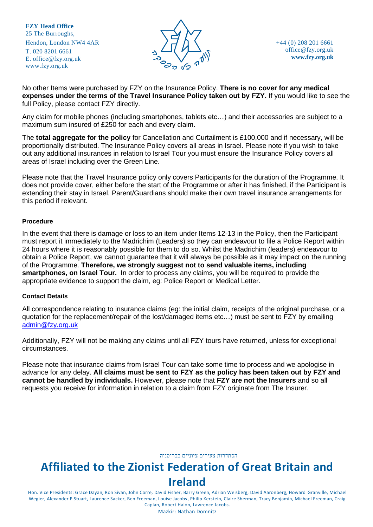

+44 (0) 208 201 6661 [office@fzy.org.uk](mailto:office@fzy.org.uk) **[www.fzy.org.uk](http://www.fzy.org.uk/)**

No other Items were purchased by FZY on the Insurance Policy. **There is no cover for any medical expenses under the terms of the Travel Insurance Policy taken out by FZY.** If you would like to see the full Policy, please contact FZY directly.

Any claim for mobile phones (including smartphones, tablets etc…) and their accessories are subject to a maximum sum insured of £250 for each and every claim.

The **total aggregate for the policy** for Cancellation and Curtailment is £100,000 and if necessary, will be proportionally distributed. The Insurance Policy covers all areas in Israel. Please note if you wish to take out any additional insurances in relation to Israel Tour you must ensure the Insurance Policy covers all areas of Israel including over the Green Line.

Please note that the Travel Insurance policy only covers Participants for the duration of the Programme. It does not provide cover, either before the start of the Programme or after it has finished, if the Participant is extending their stay in Israel. Parent/Guardians should make their own travel insurance arrangements for this period if relevant.

#### **Procedure**

In the event that there is damage or loss to an item under Items 12-13 in the Policy, then the Participant must report it immediately to the Madrichim (Leaders) so they can endeavour to file a Police Report within 24 hours where it is reasonably possible for them to do so. Whilst the Madrichim (leaders) endeavour to obtain a Police Report, we cannot guarantee that it will always be possible as it may impact on the running of the Programme. **Therefore, we strongly suggest not to send valuable items, including smartphones, on Israel Tour.** In order to process any claims, you will be required to provide the appropriate evidence to support the claim, eg: Police Report or Medical Letter.

#### **Contact Details**

All correspondence relating to insurance claims (eg: the initial claim, receipts of the original purchase, or a quotation for the replacement/repair of the lost/damaged items etc…) must be sent to FZY by emailing [admin@fzy.org.uk](mailto:admin@fzy.org.uk)

Additionally, FZY will not be making any claims until all FZY tours have returned, unless for exceptional circumstances.

Please note that insurance claims from Israel Tour can take some time to process and we apologise in advance for any delay. **All claims must be sent to FZY as the policy has been taken out by FZY and cannot be handled by individuals.** However, please note that **FZY are not the Insurers** and so all requests you receive for information in relation to a claim from FZY originate from The Insurer.

<span id="page-24-0"></span>הסתדרות צעירים ציוניים בבריטניה

# **Affiliated to the Zionist Federation of Great Britain and Ireland**

Hon. Vice Presidents: Grace Dayan, Ron Sivan, John Corre, David Fisher, Barry Green, Adrian Weisberg, David Aaronberg, Howard Granville, Michael Wegier, Alexander P Stuart, Laurence Sacker, Ben Freeman, Louise Jacobs, Philip Kerstein, Claire Sherman, Tracy Benjamin, Michael Freeman, Craig Caplan, Robert Halon, Lawrence Jacobs.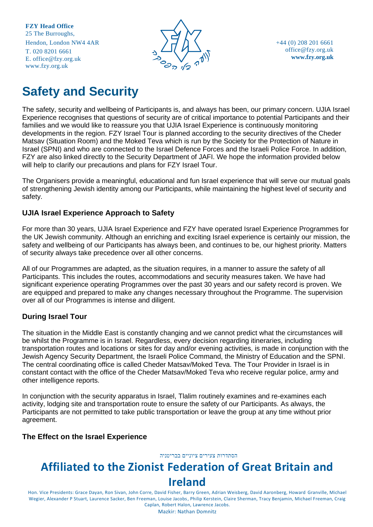

+44 (0) 208 201 6661 [office@fzy.org.uk](mailto:office@fzy.org.uk) **[www.fzy.org.uk](http://www.fzy.org.uk/)**

# **Safety and Security**

The safety, security and wellbeing of Participants is, and always has been, our primary concern. UJIA Israel Experience recognises that questions of security are of critical importance to potential Participants and their families and we would like to reassure you that UJIA Israel Experience is continuously monitoring developments in the region. FZY Israel Tour is planned according to the security directives of the Cheder Matsav (Situation Room) and the Moked Teva which is run by the Society for the Protection of Nature in Israel (SPNI) and who are connected to the Israel Defence Forces and the Israeli Police Force. In addition, FZY are also linked directly to the Security Department of JAFI. We hope the information provided below will help to clarify our precautions and plans for FZY Israel Tour.

The Organisers provide a meaningful, educational and fun Israel experience that will serve our mutual goals of strengthening Jewish identity among our Participants, while maintaining the highest level of security and safety.

#### **UJIA Israel Experience Approach to Safety**

For more than 30 years, UJIA Israel Experience and FZY have operated Israel Experience Programmes for the UK Jewish community. Although an enriching and exciting Israel experience is certainly our mission, the safety and wellbeing of our Participants has always been, and continues to be, our highest priority. Matters of security always take precedence over all other concerns.

All of our Programmes are adapted, as the situation requires, in a manner to assure the safety of all Participants. This includes the routes, accommodations and security measures taken. We have had significant experience operating Programmes over the past 30 years and our safety record is proven. We are equipped and prepared to make any changes necessary throughout the Programme. The supervision over all of our Programmes is intense and diligent.

#### **During Israel Tour**

The situation in the Middle East is constantly changing and we cannot predict what the circumstances will be whilst the Programme is in Israel. Regardless, every decision regarding itineraries, including transportation routes and locations or sites for day and/or evening activities, is made in conjunction with the Jewish Agency Security Department, the Israeli Police Command, the Ministry of Education and the SPNI. The central coordinating office is called Cheder Matsav/Moked Teva. The Tour Provider in Israel is in constant contact with the office of the Cheder Matsav/Moked Teva who receive regular police, army and other intelligence reports.

In conjunction with the security apparatus in Israel, Tlalim routinely examines and re-examines each activity, lodging site and transportation route to ensure the safety of our Participants. As always, the Participants are not permitted to take public transportation or leave the group at any time without prior agreement.

#### **The Effect on the Israel Experience**

#### הסתדרות צעירים ציוניים בבריטניה

# **Affiliated to the Zionist Federation of Great Britain and**

**Ireland**

Hon. Vice Presidents: Grace Dayan, Ron Sivan, John Corre, David Fisher, Barry Green, Adrian Weisberg, David Aaronberg, Howard Granville, Michael Wegier, Alexander P Stuart, Laurence Sacker, Ben Freeman, Louise Jacobs, Philip Kerstein, Claire Sherman, Tracy Benjamin, Michael Freeman, Craig Caplan, Robert Halon, Lawrence Jacobs.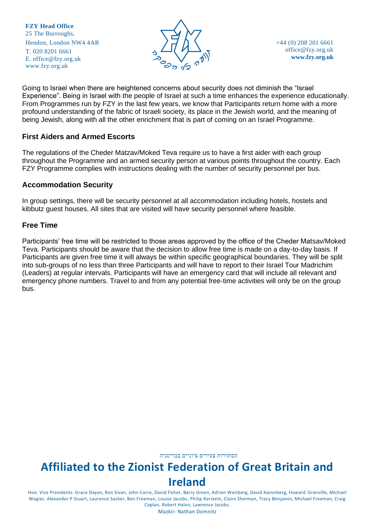

+44 (0) 208 201 6661 [office@fzy.org.uk](mailto:office@fzy.org.uk) **[www.fzy.org.uk](http://www.fzy.org.uk/)**

Going to Israel when there are heightened concerns about security does not diminish the "Israel Experience". Being in Israel with the people of Israel at such a time enhances the experience educationally. From Programmes run by FZY in the last few years, we know that Participants return home with a more profound understanding of the fabric of Israeli society, its place in the Jewish world, and the meaning of being Jewish, along with all the other enrichment that is part of coming on an Israel Programme.

#### **First Aiders and Armed Escorts**

The regulations of the Cheder Matzav/Moked Teva require us to have a first aider with each group throughout the Programme and an armed security person at various points throughout the country. Each FZY Programme complies with instructions dealing with the number of security personnel per bus.

#### **Accommodation Security**

In group settings, there will be security personnel at all accommodation including hotels, hostels and kibbutz guest houses. All sites that are visited will have security personnel where feasible.

#### **Free Time**

Participants' free time will be restricted to those areas approved by the office of the Cheder Matsav/Moked Teva. Participants should be aware that the decision to allow free time is made on a day-to-day basis. If Participants are given free time it will always be within specific geographical boundaries. They will be split into sub-groups of no less than three Participants and will have to report to their Israel Tour Madrichim (Leaders) at regular intervals. Participants will have an emergency card that will include all relevant and emergency phone numbers. Travel to and from any potential free-time activities will only be on the group bus.

הסתדרות צעירים ציוניים בבריטניה

# **Affiliated to the Zionist Federation of Great Britain and Ireland**

Hon. Vice Presidents: Grace Dayan, Ron Sivan, John Corre, David Fisher, Barry Green, Adrian Weisberg, David Aaronberg, Howard Granville, Michael Wegier, Alexander P Stuart, Laurence Sacker, Ben Freeman, Louise Jacobs, Philip Kerstein, Claire Sherman, Tracy Benjamin, Michael Freeman, Craig Caplan, Robert Halon, Lawrence Jacobs.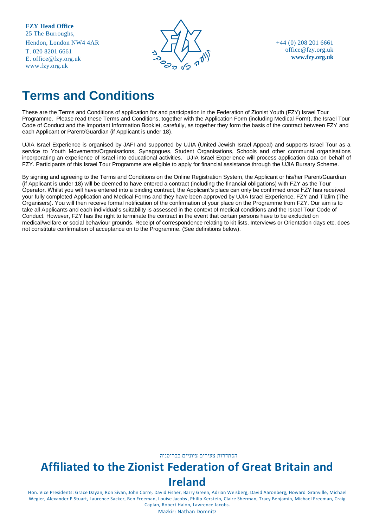T. 020 8201 6661 E. [office@fzy.org.uk](mailto:office@fzy.org.uk) [www.fzy.org.uk](http://www.fzy.org.uk/)



+44 (0) 208 201 6661 [office@fzy.org.uk](mailto:office@fzy.org.uk) **[www.fzy.org.uk](http://www.fzy.org.uk/)**

# **Terms and Conditions**

These are the Terms and Conditions of application for and participation in the Federation of Zionist Youth (FZY) Israel Tour Programme. Please read these Terms and Conditions, together with the Application Form (including Medical Form), the Israel Tour Code of Conduct and the Important Information Booklet, carefully, as together they form the basis of the contract between FZY and each Applicant or Parent/Guardian (if Applicant is under 18).

UJIA Israel Experience is organised by JAFI and supported by UJIA (United Jewish Israel Appeal) and supports Israel Tour as a service to Youth Movements/Organisations, Synagogues, Student Organisations, Schools and other communal organisations incorporating an experience of Israel into educational activities. UJIA Israel Experience will process application data on behalf of FZY. Participants of this Israel Tour Programme are eligible to apply for financial assistance through the UJIA Bursary Scheme.

By signing and agreeing to the Terms and Conditions on the Online Registration System, the Applicant or his/her Parent/Guardian (if Applicant is under 18) will be deemed to have entered a contract (including the financial obligations) with FZY as the Tour Operator. Whilst you will have entered into a binding contract, the Applicant's place can only be confirmed once FZY has received your fully completed Application and Medical Forms and they have been approved by UJIA Israel Experience, FZY and Tlalim (The Organisers). You will then receive formal notification of the confirmation of your place on the Programme from FZY. Our aim is to take all Applicants and each individual's suitability is assessed in the context of medical conditions and the Israel Tour Code of Conduct. However, FZY has the right to terminate the contract in the event that certain persons have to be excluded on medical/welfare or social behaviour grounds. Receipt of correspondence relating to kit lists, Interviews or Orientation days etc. does not constitute confirmation of acceptance on to the Programme. (See definitions below).

הסתדרות צעירים ציוניים בבריטניה

# **Affiliated to the Zionist Federation of Great Britain and Ireland**

Hon. Vice Presidents: Grace Dayan, Ron Sivan, John Corre, David Fisher, Barry Green, Adrian Weisberg, David Aaronberg, Howard Granville, Michael Wegier, Alexander P Stuart, Laurence Sacker, Ben Freeman, Louise Jacobs, Philip Kerstein, Claire Sherman, Tracy Benjamin, Michael Freeman, Craig Caplan, Robert Halon, Lawrence Jacobs.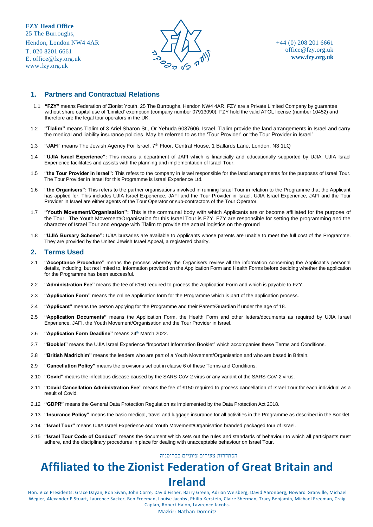T. 020 8201 6661 E. [office@fzy.org.uk](mailto:office@fzy.org.uk) [www.fzy.org.uk](http://www.fzy.org.uk/)



#### **1. Partners and Contractual Relations**

- 1.1 **"FZY"** means Federation of Zionist Youth, 25 The Burroughs, Hendon NW4 4AR. FZY are a Private Limited Company by guarantee without share capital use of 'Limited' exemption (company number 07913090). FZY hold the valid ATOL license (number 10452) and therefore are the legal tour operators in the UK.
- 1.2 **"Tlalim"** means Tlalim of 3 Ariel Sharon St., Or Yehuda 6037606, Israel. Tlalim provide the land arrangements in Israel and carry the medical and liability insurance policies. May be referred to as the 'Tour Provider' or 'the Tour Provider in Israel'
- 1.3 **"JAFI**" means The Jewish Agency For Israel, 7th Floor, Central House, 1 Ballards Lane, London, N3 1LQ
- 1.4 **"UJIA Israel Experience":** This means a department of JAFI which is financially and educationally supported by UJIA. UJIA Israel Experience facilitates and assists with the planning and implementation of Israel Tour.
- 1.5 **"the Tour Provider in Israel":** This refers to the company in Israel responsible for the land arrangements for the purposes of Israel Tour. The Tour Provider in Israel for this Programme is Israel Experience Ltd.
- 1.6 **"the Organisers":** This refers to the partner organisations involved in running Israel Tour in relation to the Programme that the Applicant has applied for. This includes UJIA Israel Experience, JAFI and the Tour Provider in Israel. UJIA Israel Experience, JAFI and the Tour Provider in Israel are either agents of the Tour Operator or sub-contractors of the Tour Operator.
- 1.7 **"Youth Movement/Organisation":** This is the communal body with which Applicants are or become affiliated for the purpose of the Tour. The Youth Movement/Organisation for this Israel Tour is FZY. FZY are responsible for setting the programming and the character of Israel Tour and engage with Tlalim to provide the actual logistics on the ground
- 1.8 **"UJIA Bursary Scheme":** UJIA bursaries are available to Applicants whose parents are unable to meet the full cost of the Programme. They are provided by the United Jewish Israel Appeal, a registered charity.

#### **2. Terms Used**

- 2.1 **"Acceptance Procedure"** means the process whereby the Organisers review all the information concerning the Applicant's personal details, including, but not limited to, information provided on the Application Form and Health Forms before deciding whether the application for the Programme has been successful.
- 2.2 **"Administration Fee"** means the fee of £150 required to process the Application Form and which is payable to FZY.
- 2.3 **"Application Form"** means the online application form for the Programme which is part of the application process.
- 2.4 **"Applicant"** means the person applying for the Programme and their Parent/Guardian if under the age of 18.
- 2.5 **"Application Documents"** means the Application Form, the Health Form and other letters/documents as required by UJIA Israel Experience, JAFI, the Youth Movement/Organisation and the Tour Provider in Israel.
- 2.6 "Application Form Deadline" means 24<sup>th</sup> March 2022.
- 2.7 **"Booklet"** means the UJIA Israel Experience "Important Information Booklet" which accompanies these Terms and Conditions.
- 2.8 **"British Madrichim"** means the leaders who are part of a Youth Movement/Organisation and who are based in Britain.
- 2.9 **"Cancellation Policy"** means the provisions set out in clause 6 of these Terms and Conditions.
- 2.10 **"Covid"** means the infectious disease caused by the SARS-CoV-2 virus or any variant of the SARS-CoV-2 virus.
- 2.11 **"Covid Cancellation Administration Fee"** means the fee of £150 required to process cancellation of Israel Tour for each individual as a result of Covid.
- 2.12 **"GDPR"** means the General Data Protection Regulation as implemented by the Data Protection Act 2018.
- 2.13 **"Insurance Policy"** means the basic medical, travel and luggage insurance for all activities in the Programme as described in the Booklet.
- 2.14 **"Israel Tour"** means UJIA Israel Experience and Youth Movement/Organisation branded packaged tour of Israel.
- 2.15 **"Israel Tour Code of Conduct"** means the document which sets out the rules and standards of behaviour to which all participants must adhere, and the disciplinary procedures in place for dealing with unacceptable behaviour on Israel Tour.

#### הסתדרות צעירים ציוניים בבריטניה

### **Affiliated to the Zionist Federation of Great Britain and Ireland**

Hon. Vice Presidents: Grace Dayan, Ron Sivan, John Corre, David Fisher, Barry Green, Adrian Weisberg, David Aaronberg, Howard Granville, Michael Wegier, Alexander P Stuart, Laurence Sacker, Ben Freeman, Louise Jacobs, Philip Kerstein, Claire Sherman, Tracy Benjamin, Michael Freeman, Craig Caplan, Robert Halon, Lawrence Jacobs.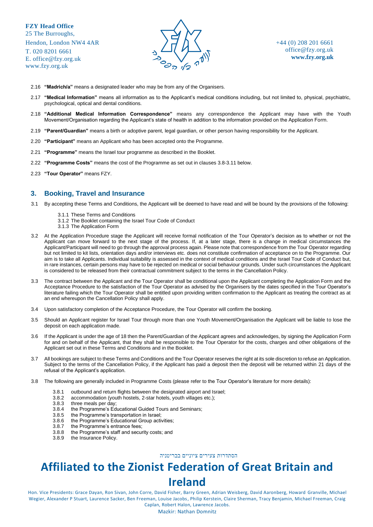E. [office@fzy.org.uk](mailto:office@fzy.org.uk) [www.fzy.org.uk](http://www.fzy.org.uk/)



- 2.16 **"Madrich/a"** means a designated leader who may be from any of the Organisers.
- 2.17 **"Medical Information"** means all information as to the Applicant's medical conditions including, but not limited to, physical, psychiatric, psychological, optical and dental conditions.
- 2.18 **"Additional Medical Information Correspondence"** means any correspondence the Applicant may have with the Youth Movement/Organisation regarding the Applicant's state of health in addition to the information provided on the Application Form.
- 2.19 **"Parent/Guardian"** means a birth or adoptive parent, legal guardian, or other person having responsibility for the Applicant.
- 2.20 **"Participant"** means an Applicant who has been accepted onto the Programme.
- 2.21 **"Programme"** means the Israel tour programme as described in the Booklet.
- 2.22 **"Programme Costs"** means the cost of the Programme as set out in clauses 3.8-3.11 below.
- 2.23 **"Tour Operator"** means FZY.

#### **3. Booking, Travel and Insurance**

- 3.1 By accepting these Terms and Conditions, the Applicant will be deemed to have read and will be bound by the provisions of the following:
	- 3.1.1 These Terms and Conditions
	- 3.1.2 The Booklet containing the Israel Tour Code of Conduct
	- 3.1.3 The Application Form
- 3.2 At the Application Procedure stage the Applicant will receive formal notification of the Tour Operator's decision as to whether or not the Applicant can move forward to the next stage of the process. If, at a later stage, there is a change in medical circumstances the Applicant/Participant will need to go through the approval process again. Please note that correspondence from the Tour Operator regarding but not limited to kit lists, orientation days and/or interviews etc. does not constitute confirmation of acceptance on to the Programme. Our aim is to take all Applicants. Individual suitability is assessed in the context of medical conditions and the Israel Tour Code of Conduct but, in rare instances, certain persons may have to be rejected on medical or social behaviour grounds. Under such circumstances the Applicant is considered to be released from their contractual commitment subject to the terms in the Cancellation Policy.
- 3.3 The contract between the Applicant and the Tour Operator shall be conditional upon the Applicant completing the Application Form and the Acceptance Procedure to the satisfaction of the Tour Operator as advised by the Organisers by the dates specified in the Tour Operator's literature failing which the Tour Operator shall be entitled upon providing written confirmation to the Applicant as treating the contract as at an end whereupon the Cancellation Policy shall apply.
- 3.4 Upon satisfactory completion of the Acceptance Procedure, the Tour Operator will confirm the booking.
- 3.5 Should an Applicant register for Israel Tour through more than one Youth Movement/Organisation the Applicant will be liable to lose the deposit on each application made.
- 3.6 If the Applicant is under the age of 18 then the Parent/Guardian of the Applicant agrees and acknowledges, by signing the Application Form for and on behalf of the Applicant, that they shall be responsible to the Tour Operator for the costs, charges and other obligations of the Applicant set out in these Terms and Conditions and in the Booklet.
- 3.7 All bookings are subject to these Terms and Conditions and the Tour Operator reserves the right at its sole discretion to refuse an Application. Subject to the terms of the Cancellation Policy, if the Applicant has paid a deposit then the deposit will be returned within 21 days of the refusal of the Applicant's application.
- 3.8 The following are generally included in Programme Costs (please refer to the Tour Operator's literature for more details):
	- 3.8.1 outbound and return flights between the designated airport and Israel;
	- 3.8.2 accommodation (youth hostels, 2-star hotels, youth villages etc.);
	- 3.8.3 three meals per day;
	- 3.8.4 the Programme's Educational Guided Tours and Seminars;
	- 3.8.5 the Programme's transportation in Israel;
	- 3.8.6 the Programme's Educational Group activities;
	- 3.8.7 the Programme's entrance fees;
	- 3.8.8 the Programme's staff and security costs; and
	- 3.8.9 the Insurance Policy.

הסתדרות צעירים ציוניים בבריטניה

# **Affiliated to the Zionist Federation of Great Britain and Ireland**

Hon. Vice Presidents: Grace Dayan, Ron Sivan, John Corre, David Fisher, Barry Green, Adrian Weisberg, David Aaronberg, Howard Granville, Michael Wegier, Alexander P Stuart, Laurence Sacker, Ben Freeman, Louise Jacobs, Philip Kerstein, Claire Sherman, Tracy Benjamin, Michael Freeman, Craig Caplan, Robert Halon, Lawrence Jacobs.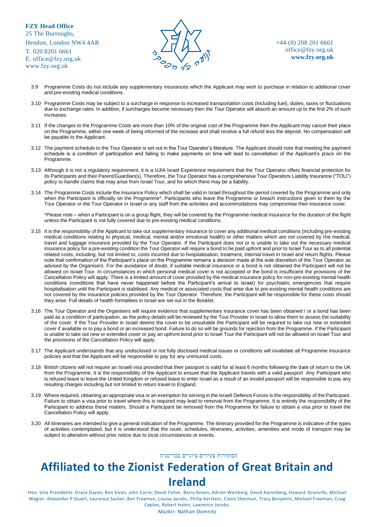T. 020 8201 6661 E. [office@fzy.org.uk](mailto:office@fzy.org.uk) [www.fzy.org.uk](http://www.fzy.org.uk/)



+44 (0) 208 201 6661 [office@fzy.org.uk](mailto:office@fzy.org.uk) **[www.fzy.org.uk](http://www.fzy.org.uk/)**

- 3.9 Programme Costs do not include any supplementary insurances which the Applicant may wish to purchase in relation to additional cover and pre-existing medical conditions.
- 3.10 Programme Costs may be subject to a surcharge in response to increased transportation costs (including fuel), duties, taxes or fluctuations due to exchange rates. In addition, if surcharges become necessary then the Tour Operator will absorb an amount up to the first 2% of such increases.
- 3.11 If the changes to the Programme Costs are more than 10% of the original cost of the Programme then the Applicant may cancel their place on the Programme, within one week of being informed of the increase and shall receive a full refund less the deposit. No compensation will be payable to the Applicant.
- 3.12 The payment schedule to the Tour Operator is set out in the Tour Operator's literature. The Applicant should note that meeting the payment schedule is a condition of participation and failing to make payments on time will lead to cancellation of the Applicant's place on the Programme.
- 3.13 Although it is not a regulatory requirement, it is a UJIA Israel Experience requirement that the Tour Operator offers financial protection for its Participants and their Parent/Guardian(s). Therefore, the Tour Operator has a comprehensive Tour Operators Liability Insurance ("TOLI") policy to handle claims that may arise from Israel Tour, and for which there may be a liability.
- 3.14 The Programme Costs include the Insurance Policy which shall be valid in Israel throughout the period covered by the Programme and only when the Participant is officially on the Programme\*. Participants who leave the Programme or breach instructions given to them by the Tour Operator or the Tour Operator in Israel or any staff from the activities and accommodations may compromise their insurance cover.

\*Please note – when a Participant is on a group flight, they will be covered by the Programme medical insurance for the duration of the flight unless the Participant is not fully covered due to pre-existing medical conditions.

- 3.15 It is the responsibility of the Applicant to take out supplementary insurance to cover any additional medical conditions (including pre-existing medical conditions relating to physical, medical, mental and/or emotional health) or other matters which are not covered by the medical, travel and luggage insurance provided by the Tour Operator. If the Participant does not or is unable to take out the necessary medical insurance policy for a pre-existing condition the Tour Operator will require a bond to be paid upfront and prior to Israel Tour as to all potential related costs, including, but not limited to, costs incurred due to hospitalisation, treatment, internal travel in Israel and return flights. Please note that confirmation of the Participant's place on the Programme remains a decision made at the sole discretion of the Tour Operator as advised by the Organisers. For the avoidance of doubt, if suitable medical insurance or a bond is not obtained the Participant will not be allowed on Israel Tour. In circumstances in which personal medical cover is not accepted or the bond is insufficient the provisions of the Cancellation Policy will apply. There is a limited amount of cover provided by the medical insurance policy for non-pre-existing mental health conditions (conditions that have never happened before the Participant's arrival to Israel) for psychiatric emergencies that require hospitalisation until the Participant is stabilised. Any medical or associated costs that arise due to pre-existing mental health conditions are not covered by the insurance policies provided by the Tour Operator. Therefore, the Participant will be responsible for these costs should they arise. Full details of health formalities in Israel are set out in the Booklet.
- 3.16 The Tour Operator and the Organisers will require evidence that supplementary insurance cover has been obtained / or a bond has been paid as a condition of participation, as the policy details will be reviewed by the Tour Provider in Israel to allow them to assess the suitability of the cover. If the Tour Provider in Israel deems the cover to be unsuitable the Participant will be required to take out new or extended cover if available or to pay a bond or an increased bond. Failure to do so will be grounds for rejection from the Programme. If the Participant is unable to take out new or extended cover or pay an upfront bond prior to Israel Tour the Participant will not be allowed on Israel Tour and the provisions of the Cancellation Policy will apply.
- 3.17 The Applicant understands that any undisclosed or not fully disclosed medical issues or conditions will invalidate all Programme insurance policies and that the Applicant will be responsible to pay for any uninsured costs.
- 3.18 British citizens will not require an Israeli visa provided that their passport is valid for at least 6 months following the date of return to the UK from the Programme. It is the responsibility of the Applicant to ensure that the Applicant travels with a valid passport Any Participant who is refused leave to leave the United Kingdom or refused leave to enter Israel as a result of an invalid passport will be responsible to pay any resulting charges including but not limited to return travel to England.
- 3.19 Where required, obtaining an appropriate visa or an exemption for serving in the Israeli Defence Forces is the responsibility of the Participant. Failure to obtain a visa prior to travel where this is required may lead to removal from the Programme. It is entirely the responsibility of the Participant to address these matters. Should a Participant be removed from the Programme for failure to obtain a visa prior to travel the Cancellation Policy will apply.
- 3.20 All itineraries are intended to give a general indication of the Programme. The itinerary provided for the Programme is indicative of the types of activities contemplated, but it is understood that the route, schedules, itineraries, activities, amenities and mode of transport may be subject to alteration without prior notice due to local circumstances or events.

#### הסתדרות צעירים ציוניים בבריטניה

### **Affiliated to the Zionist Federation of Great Britain and Ireland**

Hon. Vice Presidents: Grace Dayan, Ron Sivan, John Corre, David Fisher, Barry Green, Adrian Weisberg, David Aaronberg, Howard Granville, Michael Wegier, Alexander P Stuart, Laurence Sacker, Ben Freeman, Louise Jacobs, Philip Kerstein, Claire Sherman, Tracy Benjamin, Michael Freeman, Craig Caplan, Robert Halon, Lawrence Jacobs.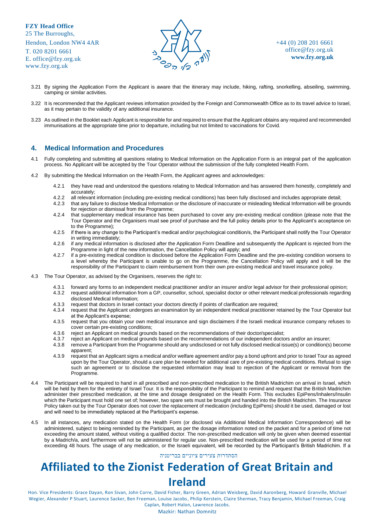T. 020 8201 6661 E. [office@fzy.org.uk](mailto:office@fzy.org.uk) [www.fzy.org.uk](http://www.fzy.org.uk/)



+44 (0) 208 201 6661 [office@fzy.org.uk](mailto:office@fzy.org.uk) **[www.fzy.org.uk](http://www.fzy.org.uk/)**

- 3.21 By signing the Application Form the Applicant is aware that the itinerary may include, hiking, rafting, snorkelling, abseiling, swimming, camping or similar activities.
- 3.22 It is recommended that the Applicant reviews information provided by the Foreign and Commonwealth Office as to its travel advice to Israel, as it may pertain to the validity of any additional insurance.
- 3.23 As outlined in the Booklet each Applicant is responsible for and required to ensure that the Applicant obtains any required and recommended immunisations at the appropriate time prior to departure, including but not limited to vaccinations for Covid.

#### **4. Medical Information and Procedures**

- 4.1 Fully completing and submitting all questions relating to Medical Information on the Application Form is an integral part of the application process. No Applicant will be accepted by the Tour Operator without the submission of the fully completed Health Form.
- 4.2 By submitting the Medical Information on the Health Form, the Applicant agrees and acknowledges:
	- 4.2.1 they have read and understood the questions relating to Medical Information and has answered them honestly, completely and accurately;
	- 4.2.2 all relevant information (including pre-existing medical conditions) has been fully disclosed and includes appropriate detail;
	- that any failure to disclose Medical Information or the disclosure of inaccurate or misleading Medical Information will be grounds for rejection or dismissal from the Programme;
	- 4.2.4 that supplementary medical insurance has been purchased to cover any pre-existing medical condition (please note that the Tour Operator and the Organisers must see proof of purchase and the full policy details prior to the Applicant's acceptance on to the Programme);
	- 4.2.5 if there is any change to the Participant's medical and/or psychological condition/s, the Participant shall notify the Tour Operator in writing immediately;
	- 4.2.6 if any medical information is disclosed after the Application Form Deadline and subsequently the Applicant is rejected from the Programme in light of the new information, the Cancellation Policy will apply; and
	- 4.2.7 if a pre-existing medical condition is disclosed before the Application Form Deadline and the pre-existing condition worsens to a level whereby the Participant is unable to go on the Programme, the Cancellation Policy will apply and it will be the responsibility of the Participant to claim reimbursement from their own pre-existing medical and travel insurance policy.
- 4.3 The Tour Operator, as advised by the Organisers, reserves the right to:
	- 4.3.1 forward any forms to an independent medical practitioner and/or an insurer and/or legal advisor for their professional opinion;
	- 4.3.2 request additional information from a GP, counsellor, school, specialist doctor or other relevant medical professionals regarding disclosed Medical Information;
	- 4.3.3 request that doctors in Israel contact your doctors directly if points of clarification are required;
	- 4.3.4 request that the Applicant undergoes an examination by an independent medical practitioner retained by the Tour Operator but at the Applicant's expense;
	- 4.3.5 request that you obtain your own medical insurance and sign disclaimers if the Israeli medical insurance company refuses to cover certain pre-existing conditions;
	- 4.3.6 reject an Applicant on medical grounds based on the recommendations of their doctor/specialist;
	- 4.3.7 reject an Applicant on medical grounds based on the recommendations of our independent doctors and/or an insurer;<br>4.3.8 remove a Participant from the Programme should any undisclosed or not fully disclosed medical is
	- remove a Participant from the Programme should any undisclosed or not fully disclosed medical issue(s) or condition(s) become apparent;
	- 4.3.9 request that an Applicant signs a medical and/or welfare agreement and/or pay a bond upfront and prior to Israel Tour as agreed upon by the Tour Operator, should a care plan be needed for additional care of pre-existing medical conditions. Refusal to sign such an agreement or to disclose the requested information may lead to rejection of the Applicant or removal from the Programme.
- 4.4 The Participant will be required to hand in all prescribed and non-prescribed medication to the British Madrichim on arrival in Israel, which will be held by them for the entirety of Israel Tour. It is the responsibility of the Participant to remind and request that the British Madrichim administer their prescribed medication, at the time and dosage designated on the Health Form. This excludes EpiPens/Inhalers/Insulin which the Participant must hold one set of; however, two spare sets must be brought and handed into the British Madrichim. The Insurance Policy taken out by the Tour Operator does not cover the replacement of medication (including EpiPens) should it be used, damaged or lost and will need to be immediately replaced at the Participant's expense.
- 4.5 In all instances, any medication stated on the Health Form (or disclosed via Additional Medical Information Correspondence) will be administered, subject to being reminded by the Participant, as per the dosage information noted on the packet and for a period of time not exceeding the amount stated, without visiting a qualified doctor. The non-prescribed medication will only be given when deemed essential by a Madrich/a, and furthermore will not be administered for regular use. Non-prescribed medication will be used for a period of time not exceeding 48 hours. The usage of any medication, or the Israeli equivalent, will be recorded by the Participant's British Madrichim. If a

#### הסתדרות צעירים ציוניים בבריטניה

### **Affiliated to the Zionist Federation of Great Britain and Ireland**

Hon. Vice Presidents: Grace Dayan, Ron Sivan, John Corre, David Fisher, Barry Green, Adrian Weisberg, David Aaronberg, Howard Granville, Michael Wegier, Alexander P Stuart, Laurence Sacker, Ben Freeman, Louise Jacobs, Philip Kerstein, Claire Sherman, Tracy Benjamin, Michael Freeman, Craig Caplan, Robert Halon, Lawrence Jacobs.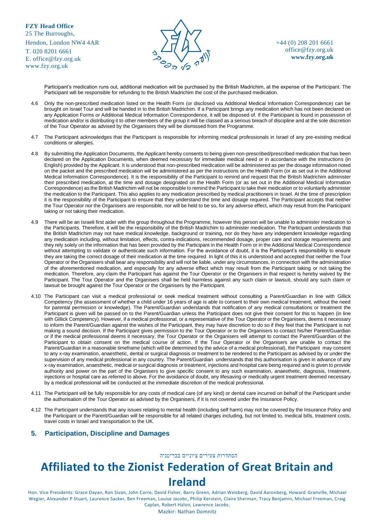T. 020 8201 6661 E. [office@fzy.org.uk](mailto:office@fzy.org.uk) [www.fzy.org.uk](http://www.fzy.org.uk/)



+44 (0) 208 201 6661 [office@fzy.org.uk](mailto:office@fzy.org.uk) **[www.fzy.org.uk](http://www.fzy.org.uk/)**

Participant's medication runs out, additional medication will be purchased by the British Madrichim, at the expense of the Participant. The Participant will be responsible for refunding to the British Madrichim the cost of the purchased medication.

- 4.6 Only the non-prescribed medication listed on the Health Form (or disclosed via Additional Medical Information Correspondence) can be brought on Israel Tour and will be handed in to the British Madrichim. If a Participant brings any medication which has not been declared on any Application Forms or Additional Medical Information Correspondence, it will be disposed of. If the Participant is found in possession of medication and/or is distributing it to other members of the group it will be classed as a serious breach of discipline and at the sole discretion of the Tour Operator as advised by the Organisers they will be dismissed from the Programme.
- 4.7 The Participant acknowledges that the Participant is responsible for informing medical professionals in Israel of any pre-existing medical conditions or allergies.
- 4.8 By submitting the Application Documents, the Applicant hereby consents to being given non-prescribed/prescribed medication that has been declared on the Application Documents, when deemed necessary for immediate medical need or in accordance with the instructions (in English) provided by the Applicant. It is understood that non-prescribed medication will be administered as per the dosage information noted on the packet and the prescribed medication will be administered as per the instructions on the Health Form (or as set out in the Additional Medical Information Correspondence). It is the responsibility of the Participant to remind and request that the British Madrichim administer their prescribed medication, at the time and dosage designated on the Health Form (or as set out in the Additional Medical Information Correspondence) as the British Madrichim will not be responsible to remind the Participant to take their medication or to voluntarily administer the medication to the Participant. This also applies to any medication prescribed by medical practitioners in Israel. At the time of prescription it is the responsibility of the Participant to ensure that they understand the time and dosage required. The Participant accepts that neither the Tour Operator nor the Organisers are responsible, nor will be held to be so, for any adverse effect, which may result from the Participant taking or not taking their medication.
- 4.9 There will be an Israeli first aider with the group throughout the Programme, however this person will be unable to administer medication to the Participants. Therefore, it will be the responsibility of the British Madrichim to administer medication. The Participant understands that the British Madrichim may not have medical knowledge, background or training, nor do they have any independent knowledge regarding any medication including, without limitation, effects, contra-indications, recommended dosage, proper care and storage requirements and they rely solely on the information that has been provided by the Participant in the Health Form or in the Additional Medical Correspondence without attempting to validate or authenticate such information. For the avoidance of doubt, it is the Participant's responsibility to ensure they are taking the correct dosage of their medication at the time required. In light of this it is understood and accepted that neither the Tour Operator or the Organisers shall bear any responsibility and will not be liable, under any circumstances, in connection with the administration of the aforementioned medication, and especially for any adverse effect which may result from the Participant taking or not taking the medication. Therefore, any claim the Participant has against the Tour Operator or the Organisers in that respect is hereby waived by the Participant. The Tour Operator and the Organisers shall be held harmless against any such claim or lawsuit, should any such claim or lawsuit be brought against the Tour Operator or the Organisers by the Participant.
- 4.10 The Participant can visit a medical professional or seek medical treatment without consulting a Parent/Guardian in line with Gillick Competency (the assessment of whether a child under 16 years of age is able to consent to their own medical treatment, without the need for parental permission or knowledge). The Parent/Guardian understands that notification of any medical consultations or treatment the Participant is given will be passed on to the Parent/Guardian unless the Participant does not give their consent for this to happen (in line with Gillick Competency). However, if a medical professional, or a representative of the Tour Operator or the Organisers, deems it necessary to inform the Parent/Guardian against the wishes of the Participant, they may have discretion to do so if they feel that the Participant is not making a sound decision. If the Participant gives permission to the Tour Operator or to the Organisers to contact his/her Parent/Guardian or if the medical professional deems it necessary, the Tour Operator or the Organisers will attempt to contact the Parent/Guardian of the Participant to obtain consent on the medical course of action. If the Tour Operator or the Organisers are unable to contact the Parent/Guardian in a reasonable timeframe (which will be determined by the advice of a medical professional), the Participant may consent to any x-ray examination, anaesthetic, dental or surgical diagnosis or treatment to be rendered to the Participant as advised by or under the supervision of any medical professional in any country. The Parent/Guardian understands that this authorisation is given in advance of any x-ray examination, anaesthetic, medical or surgical diagnosis or treatment, injections and hospital care being required and is given to provide authority and power on the part of the Organisers to give specific consent to any such examination, anaesthetic, diagnosis, treatment, injections or hospital care as referred to above. For the avoidance of doubt, any lifesaving or medically urgent treatment deemed necessary by a medical professional will be conducted at the immediate discretion of the medical professional.
- 4.11 The Participant will be fully responsible for any costs of medical care (of any kind) or dental care incurred on behalf of the Participant under the authorisation of the Tour Operator as advised by the Organisers, if it is not covered under the Insurance Policy.
- 4.12 The Participant understands that any issues relating to mental health (including self harm) may not be covered by the Insurance Policy and the Participant or the Parent/Guardian will be responsible for all related charges including, but not limited to, medical bills, treatment costs, travel costs in Israel and transportation to the UK.

#### **5. Participation, Discipline and Damages**

#### הסתדרות צעירים ציוניים בבריטניה

# **Affiliated to the Zionist Federation of Great Britain and Ireland**

Hon. Vice Presidents: Grace Dayan, Ron Sivan, John Corre, David Fisher, Barry Green, Adrian Weisberg, David Aaronberg, Howard Granville, Michael Wegier, Alexander P Stuart, Laurence Sacker, Ben Freeman, Louise Jacobs, Philip Kerstein, Claire Sherman, Tracy Benjamin, Michael Freeman, Craig Caplan, Robert Halon, Lawrence Jacobs.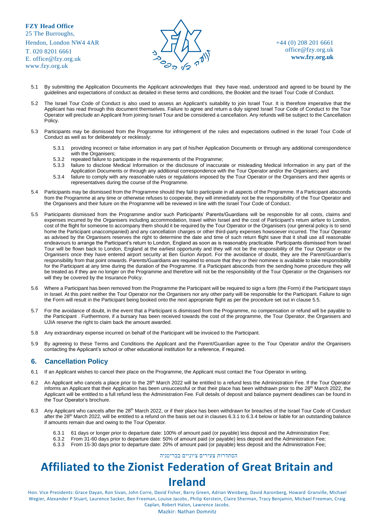T. 020 8201 6661 E. [office@fzy.org.uk](mailto:office@fzy.org.uk) [www.fzy.org.uk](http://www.fzy.org.uk/)



+44 (0) 208 201 6661 [office@fzy.org.uk](mailto:office@fzy.org.uk) **[www.fzy.org.uk](http://www.fzy.org.uk/)**

- 5.1 By submitting the Application Documents the Applicant acknowledges that they have read, understood and agreed to be bound by the guidelines and expectations of conduct as detailed in these terms and conditions, the Booklet and the Israel Tour Code of Conduct.
- 5.2 The Israel Tour Code of Conduct is also used to assess an Applicant's suitability to join Israel Tour. It is therefore imperative that the Applicant has read through this document themselves. Failure to agree and return a duly signed Israel Tour Code of Conduct to the Tour Operator will preclude an Applicant from joining Israel Tour and be considered a cancellation. Any refunds will be subject to the Cancellation Policy.
- 5.3 Participants may be dismissed from the Programme for infringement of the rules and expectations outlined in the Israel Tour Code of Conduct as well as for deliberately or recklessly:
	- 5.3.1 providing incorrect or false information in any part of his/her Application Documents or through any additional correspondence with the Organisers:
	- 5.3.2 repeated failure to participate in the requirements of the Programme;
	- 5.3.3 failure to disclose Medical Information or the disclosure of inaccurate or misleading Medical Information in any part of the Application Documents or through any additional correspondence with the Tour Operator and/or the Organisers; and
	- 5.3.4 failure to comply with any reasonable rules or regulations imposed by the Tour Operator or the Organisers and their agents or representatives during the course of the Programme.
- 5.4 Participants may be dismissed from the Programme should they fail to participate in all aspects of the Programme. If a Participant absconds from the Programme at any time or otherwise refuses to cooperate, they will immediately not be the responsibility of the Tour Operator and the Organisers and their future on the Programme will be reviewed in line with the Israel Tour Code of Conduct.
- 5.5 Participants dismissed from the Programme and/or such Participants' Parents/Guardians will be responsible for all costs, claims and expenses incurred by the Organisers including accommodation, travel within Israel and the cost of Participant's return airfare to London, cost of the flight for someone to accompany them should it be required by the Tour Operator or the Organisers (our general policy is to send home the Participant unaccompanied) and any cancellation charges or other third-party expenses howsoever incurred. The Tour Operator as advised by the Organisers reserves the right to determine the date and time of such return flight save that it shall use all reasonable endeavours to arrange the Participant's return to London, England as soon as is reasonably practicable. Participants dismissed from Israel Tour will be flown back to London, England at the earliest opportunity and they will not be the responsibility of the Tour Operator or the Organisers once they have entered airport security at Ben Gurion Airport. For the avoidance of doubt, they are the Parent/Guardian's responsibility from that point onwards. Parents/Guardians are required to ensure that they or their nominee is available to take responsibility for the Participant at any time during the duration of the Programme. If a Participant absconds from the sending home procedure they will be treated as if they are no longer on the Programme and therefore will not be the responsibility of the Tour Operator or the Organisers nor will they be covered by the Insurance Policy.
- 5.6 Where a Participant has been removed from the Programme the Participant will be required to sign a form (the Form) if the Participant stays in Israel. At this point neither the Tour Operator nor the Organisers nor any other party will be responsible for the Participant. Failure to sign the Form will result in the Participant being booked onto the next appropriate flight as per the procedure set out in clause 5.5.
- 5.7 For the avoidance of doubt, in the event that a Participant is dismissed from the Programme, no compensation or refund will be payable to the Participant . Furthermore, if a bursary has been received towards the cost of the programme, the Tour Operator, the Organisers and UJIA reserve the right to claim back the amount awarded.
- 5.8 Any extraordinary expense incurred on behalf of the Participant will be invoiced to the Participant.
- 5.9 By agreeing to these Terms and Conditions the Applicant and the Parent/Guardian agree to the Tour Operator and/or the Organisers contacting the Applicant's school or other educational institution for a reference, if required.

#### **6. Cancellation Policy**

- 6.1 If an Applicant wishes to cancel their place on the Programme, the Applicant must contact the Tour Operator in writing.
- 6.2 An Applicant who cancels a place prior to the 28<sup>th</sup> March 2022 will be entitled to a refund less the Administration Fee. If the Tour Operator informs an Applicant that their Application has been unsuccessful or that their place has been withdrawn prior to the 28<sup>th</sup> March 2022, the Applicant will be entitled to a full refund less the Administration Fee. Full details of deposit and balance payment deadlines can be found in the Tour Operator's brochure.
- 6.3 Any Applicant who cancels after the 28<sup>th</sup> March 2022, or if their place has been withdrawn for breaches of the Israel Tour Code of Conduct after the 28<sup>th</sup> March 2022, will be entitled to a refund on the basis set out in clauses 6.3.1 to 6.3.4 below or liable for an outstanding balance if amounts remain due and owing to the Tour Operator.
	- 6.3.1 61 days or longer prior to departure date: 100% of amount paid (or payable) less deposit and the Administration Fee;
	- 6.3.2 From 31-60 days prior to departure date: 50% of amount paid (or payable) less deposit and the Administration Fee;
	- 6.3.3 From 15-30 days prior to departure date: 20% of amount paid (or payable) less deposit and the Administration Fee;

הסתדרות צעירים ציוניים בבריטניה

# **Affiliated to the Zionist Federation of Great Britain and Ireland**

Hon. Vice Presidents: Grace Dayan, Ron Sivan, John Corre, David Fisher, Barry Green, Adrian Weisberg, David Aaronberg, Howard Granville, Michael Wegier, Alexander P Stuart, Laurence Sacker, Ben Freeman, Louise Jacobs, Philip Kerstein, Claire Sherman, Tracy Benjamin, Michael Freeman, Craig Caplan, Robert Halon, Lawrence Jacobs.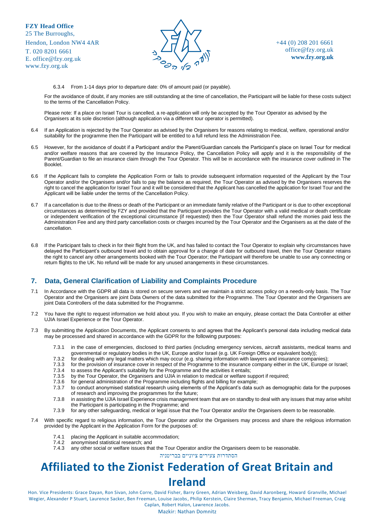T. 020 8201 6661 E. [office@fzy.org.uk](mailto:office@fzy.org.uk) [www.fzy.org.uk](http://www.fzy.org.uk/)



+44 (0) 208 201 6661 [office@fzy.org.uk](mailto:office@fzy.org.uk) **[www.fzy.org.uk](http://www.fzy.org.uk/)**

6.3.4 From 1-14 days prior to departure date: 0% of amount paid (or payable).

For the avoidance of doubt, if any monies are still outstanding at the time of cancellation, the Participant will be liable for these costs subject to the terms of the Cancellation Policy.

Please note: If a place on Israel Tour is cancelled, a re-application will only be accepted by the Tour Operator as advised by the Organisers at its sole discretion (although application via a different tour operator is permitted).

- 6.4 If an Application is rejected by the Tour Operator as advised by the Organisers for reasons relating to medical, welfare, operational and/or suitability for the programme then the Participant will be entitled to a full refund less the Administration Fee.
- 6.5 However, for the avoidance of doubt if a Participant and/or the Parent/Guardian cancels the Participant's place on Israel Tour for medical and/or welfare reasons that are covered by the Insurance Policy, the Cancellation Policy will apply and it is the responsibility of the Parent/Guardian to file an insurance claim through the Tour Operator. This will be in accordance with the insurance cover outlined in The Booklet.
- 6.6 If the Applicant fails to complete the Application Form or fails to provide subsequent information requested of the Applicant by the Tour Operator and/or the Organisers and/or fails to pay the balance as required, the Tour Operator as advised by the Organisers reserves the right to cancel the application for Israel Tour and it will be considered that the Applicant has cancelled the application for Israel Tour and the Applicant will be liable under the terms of the Cancellation Policy.
- 6.7 If a cancellation is due to the illness or death of the Participant or an immediate family relative of the Participant or is due to other exceptional circumstances as determined by FZY and provided that the Participant provides the Tour Operator with a valid medical or death certificate or independent verification of the exceptional circumstance (if requested) then the Tour Operator shall refund the monies paid less the Administration Fee and any third party cancellation costs or charges incurred by the Tour Operator and the Organisers as at the date of the cancellation.
- 6.8 If the Participant fails to check in for their flight from the UK, and has failed to contact the Tour Operator to explain why circumstances have delayed the Participant's outbound travel and to obtain approval for a change of date for outbound travel, then the Tour Operator retains the right to cancel any other arrangements booked with the Tour Operator; the Participant will therefore be unable to use any connecting or return flights to the UK. No refund will be made for any unused arrangements in these circumstances.

#### **7. Data, General Clarification of Liability and Complaints Procedure**

- 7.1 In Accordance with the GDPR all data is stored on secure servers and we maintain a strict access policy on a needs-only basis. The Tour Operator and the Organisers are joint Data Owners of the data submitted for the Programme. The Tour Operator and the Organisers are joint Data Controllers of the data submitted for the Programme.
- 7.2 You have the right to request information we hold about you. If you wish to make an enquiry, please contact the Data Controller at either UJIA Israel Experience or the Tour Operator.
- 7.3 By submitting the Application Documents, the Applicant consents to and agrees that the Applicant's personal data including medical data may be processed and shared in accordance with the GDPR for the following purposes:
	- 7.3.1 in the case of emergencies, disclosed to third parties (including emergency services, aircraft assistants, medical teams and governmental or regulatory bodies in the UK, Europe and/or Israel (e.g. UK Foreign Office or equivalent body));
	- 7.3.2 for dealing with any legal matters which may occur (e.g. sharing information with lawyers and insurance companies);
	- 7.3.3 for the provision of insurance cover in respect of the Programme to the insurance company either in the UK, Europe or Israel;
	- 7.3.4 to assess the Applicant's suitability for the Programme and the activities it entails;<br>7.3.5 by the Tour Operator, the Organisers and UJIA in relation to medical or welfare su
	- 7.3.5 by the Tour Operator, the Organisers and UJIA in relation to medical or welfare support if required;<br>7.3.6 for general administration of the Programme including flights and billing for example:
	- for general administration of the Programme including flights and billing for example;
	- 7.3.7 to conduct anonymised statistical research using elements of the Applicant's data such as demographic data for the purposes of research and improving the programmes for the future;
	- 7.3.8 in assisting the UJIA Israel Experience crisis management team that are on standby to deal with any issues that may arise whilst the Participant is participating in the Programme; and
	- 7.3.9 for any other safeguarding, medical or legal issue that the Tour Operator and/or the Organisers deem to be reasonable.
- 7.4 With specific regard to religious information, the Tour Operator and/or the Organisers may process and share the religious information provided by the Applicant in the Application Form for the purposes of:
	- 7.4.1 placing the Applicant in suitable accommodation;
	- 7.4.2 anonymised statistical research; and<br>7.4.3 any other social or welfare issues that
	- any other social or welfare issues that the Tour Operator and/or the Organisers deem to be reasonable.

הסתדרות צעירים ציוניים בבריטניה

### **Affiliated to the Zionist Federation of Great Britain and Ireland**

Hon. Vice Presidents: Grace Dayan, Ron Sivan, John Corre, David Fisher, Barry Green, Adrian Weisberg, David Aaronberg, Howard Granville, Michael Wegier, Alexander P Stuart, Laurence Sacker, Ben Freeman, Louise Jacobs, Philip Kerstein, Claire Sherman, Tracy Benjamin, Michael Freeman, Craig Caplan, Robert Halon, Lawrence Jacobs.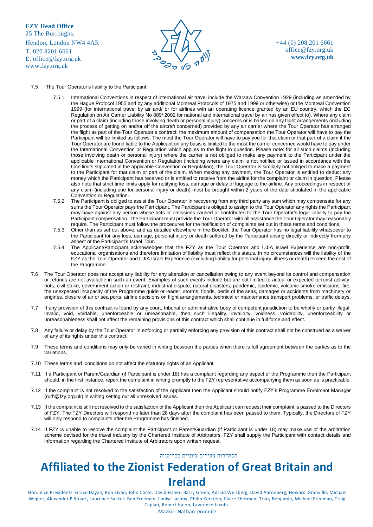

+44 (0) 208 201 6661 [office@fzy.org.uk](mailto:office@fzy.org.uk) **[www.fzy.org.uk](http://www.fzy.org.uk/)**

#### 7.5 The Tour Operator's liability to the Participant:

- 7.5.1 International Conventions in respect of international air travel include the Warsaw Convention 1929 (including as amended by the Hague Protocol 1955 and by any additional Montreal Protocols of 1975 and 1999 or otherwise) or the Montreal Convention 1999 (for international travel by air and/ or for airlines with an operating licence granted by an EU country, which the EC Regulation on Air Carrier Liability No 889/ 2002 for national and international travel by air has given effect to). Where any claim or part of a claim (including those involving death or personal injury) concerns or is based on any flight arrangements (including the process of getting on and/or off the aircraft concerned) provided by any air carrier where the Tour Operator has arranged the flight as part of the Tour Operator's contract, the maximum amount of compensation the Tour Operator will have to pay the Participant will be limited as follows. The most the Tour Operator will have to pay you for that claim or that part of a claim if the Tour Operator are found liable to the Applicant on any basis is limited to the most the carrier concerned would have to pay under the International Convention or Regulation which applies to the flight in question. Please note: for all such claims (including those involving death or personal injury) where the carrier is not obliged to make any payment to the Participant under the applicable International Convention or Regulation (including where any claim is not notified or issued in accordance with the time limits stipulated in the applicable Convention or Regulation), the Tour Operator is similarly not obliged to make a payment to the Participant for that claim or part of the claim. When making any payment, the Tour Operator is entitled to deduct any money which the Participant has received or is entitled to receive from the airline for the complaint or claim in question. Please also note that strict time limits apply for notifying loss, damage or delay of luggage to the airline. Any proceedings in respect of any claim (including one for personal injury or death) must be brought within 2 years of the date stipulated in the applicable Convention or Regulation.
- 7.5.2 The Participant is obliged to assist the Tour Operator in recovering from any third party any sum which may compensate for any sums the Tour Operator pays the Participant. The Participant is obliged to assign to the Tour Operator any rights the Participant may have against any person whose acts or omissions caused or contributed to the Tour Operator's legal liability to pay the Participant compensation. The Participant must provide the Tour Operator with all assistance the Tour Operator may reasonably require. The Participant must follow the procedures for the notification of complaints set out in these terms and conditions.
- 7.5.3 Other than as set out above, and as detailed elsewhere in the Booklet, the Tour Operator has no legal liability whatsoever to the Participant for any loss, damage, personal injury or death suffered by the Participant arising directly or indirectly from any aspect of the Participant's Israel Tour.
- 7.5.4 The Applicant/Participant acknowledges that the FZY as the Tour Operator and UJIA Israel Experience are non-profit, educational organisations and therefore limitation of liability must reflect this status. In no circumstances will the liability of the FZY as the Tour Operator and UJIA Israel Experience (excluding liability for personal injury, illness or death) exceed the cost of the Programme.
- 7.6 The Tour Operator does not accept any liability for any alteration or cancellation owing to any event beyond its control and compensation or refunds are not available in such an event. Examples of such events include but are not limited to actual or expected terrorist activity, riots, civil strike, government action or restraint, industrial dispute, natural disasters, pandemic, epidemic, volcanic smoke emissions, fire, the unexpected incapacity of the Programme guide or leader, storms, floods, perils of the seas, damages or accidents from machinery or engines, closure of air or sea ports, airline decisions on flight arrangements, technical or maintenance transport problems, or traffic delays.
- 7.7 If any provision of this contract is found by any court, tribunal or administrative body of competent jurisdiction to be wholly or partly illegal, invalid, void, voidable, unenforceable or unreasonable, then such illegality, invalidity, voidness, voidability, unenforceability or unreasonableness shall not affect the remaining provisions of this contract which shall continue in full force and effect.
- 7.8 Any failure or delay by the Tour Operator in enforcing or partially enforcing any provision of this contract shall not be construed as a waiver of any of its rights under this contract.
- 7.9 These terms and conditions may only be varied in writing between the parties when there is full agreement between the parties as to the variations.
- 7.10 These terms and conditions do not affect the statutory rights of an Applicant.
- 7.11 If a Participant or Parent/Guardian (if Participant is under 18) has a complaint regarding any aspect of the Programme then the Participant should, in the first instance, report the complaint in writing promptly to the FZY representative accompanying them as soon as is practicable.
- 7.12 If the complaint is not resolved to the satisfaction of the Applicant then the Applicant should notify FZY's Programme Enrolment Manager [\(ruth@fzy.org.uk\)](mailto:ruth@fzy.org.uk) in writing setting out all unresolved issues.
- 7.13 If the complaint is still not resolved to the satisfaction of the Applicant then the Applicant can request their complaint is passed to the Directors of FZY. The FZY Directors will respond no later than 28 days after the complaint has been passed to them. Typically, the Directors of FZY will only respond to complaints after the Programme has finished.
- 7.14 If FZY is unable to resolve the complaint the Participant or Parent/Guardian (if Participant is under 18) may make use of the arbitration scheme devised for the travel industry by the Chartered Institute of Arbitrators. FZY shall supply the Participant with contact details and information regarding the Chartered Institute of Arbitrators upon written request.

#### הסתדרות צעירים ציוניים בבריטניה

### **Affiliated to the Zionist Federation of Great Britain and Ireland**

Hon. Vice Presidents: Grace Dayan, Ron Sivan, John Corre, David Fisher, Barry Green, Adrian Weisberg, David Aaronberg, Howard Granville, Michael Wegier, Alexander P Stuart, Laurence Sacker, Ben Freeman, Louise Jacobs, Philip Kerstein, Claire Sherman, Tracy Benjamin, Michael Freeman, Craig Caplan, Robert Halon, Lawrence Jacobs.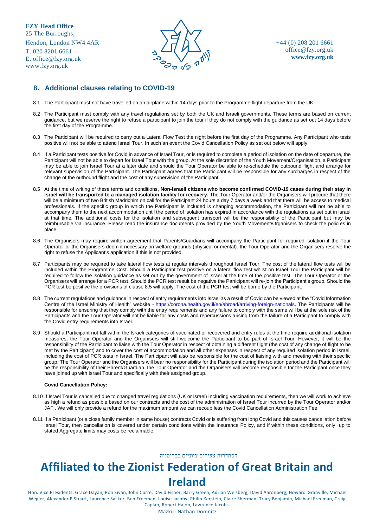T. 020 8201 6661 E. [office@fzy.org.uk](mailto:office@fzy.org.uk) [www.fzy.org.uk](http://www.fzy.org.uk/)



+44 (0) 208 201 6661 [office@fzy.org.uk](mailto:office@fzy.org.uk) **[www.fzy.org.uk](http://www.fzy.org.uk/)**

#### **8. Additional clauses relating to COVID-19**

- 8.1 The Participant must not have travelled on an airplane within 14 days prior to the Programme flight departure from the UK.
- 8.2 The Participant must comply with any travel regulations set by both the UK and Israeli governments. These terms are based on current guidance, but we reserve the right to refuse a participant to join the tour if they do not comply with the guidance as set out 14 days before the first day of the Programme.
- 8.3 The Participant will be required to carry out a Lateral Flow Test the night before the first day of the Programme. Any Participant who tests positive will not be able to attend Israel Tour. In such an event the Covid Cancellation Policy as set out below will apply.
- 8.4 If a Participant tests positive for Covid in advance of Israel Tour, or is required to complete a period of isolation on the date of departure, the Participant will not be able to depart for Israel Tour with the group. At the sole discretion of the Youth Movement/Organisation, a Participant may be able to join Israel Tour at a later date and should the Tour Operator be able to re-schedule the outbound flight and arrange for relevant supervision of the Participant. The Participant agrees that the Participant will be responsible for any surcharges in respect of the change of the outbound flight and the cost of any supervision of the Participant.
- 8.5 At the time of writing of these terms and conditions, **Non-Israeli citizens who become confirmed COVID-19 cases during their stay in Israel will be transported to a managed isolation facility for recovery.** The Tour Operator and/or the Organisers will procure that there will be a minimum of two British Madrichim on call for the Participant 24 hours a day 7 days a week and that there will be access to medical professionals. If the specific group in which the Participant is included is changing accommodation, the Participant will not be able to accompany them to the next accommodation until the period of isolation has expired in accordance with the regulations as set out in Israel at that time. The additional costs for the isolation and subsequent transport will be the responsibility of the Participant but may be reimbursable via insurance. Please read the insurance documents provided by the Youth Movement/Organisers to check the policies in place.
- 8.6 The Organisers may require written agreement that Parents/Guardians will accompany the Participant for required isolation if the Tour Operator or the Organisers deem it necessary on welfare grounds (physical or mental). the Tour Operator and the Organisers reserve the right to refuse the Applicant's application if this is not provided.
- 8.7 Participants may be required to take lateral flow tests at regular intervals throughout Israel Tour. The cost of the lateral flow tests will be included within the Programme Cost. Should a Participant test positive on a lateral flow test whilst on Israel Tour the Participant will be required to follow the isolation guidance as set out by the government of Israel at the time of the positive test. The Tour Operator or the Organisers will arrange for a PCR test. Should the PCR test result be negative the Participant will re-join the Participant's group. Should the PCR test be positive the provisions of clause 8.5 will apply. The cost of the PCR test will be borne by the Participant.
- 8.8 The current regulations and guidance in respect of entry requirements into Israel as a result of Covid can be viewed at the "Covid Information Centre of the Israel Ministry of Health" website - [https://corona.health.gov.il/en/abroad/arriving-foreign-nationals.](https://corona.health.gov.il/en/abroad/arriving-foreign-nationals) The Participants will be responsible for ensuring that they comply with the entry requirements and any failure to comply with the same will be at the sole risk of the Participants and the Tour Operator will not be liable for any costs and repercussions arising from the failure of a Participant to comply with the Covid entry requirements into Israel.
- 8.9 Should a Participant not fall within the Israeli categories of vaccinated or recovered and entry rules at the time require additional isolation measures, the Tour Operator and the Organisers will still welcome the Participant to be part of Israel Tour. However, it will be the responsibility of the Participant to liaise with the Tour Operator in respect of obtaining a different flight (the cost of any change of flight to be met by the Participant) and to cover the cost of accommodation and all other expenses in respect of any required isolation period in Israel, including the cost of PCR tests in Israel. The Participant will also be responsible for the cost of liaising with and meeting with their specific group. The Tour Operator and the Organisers will bear no responsibility for the Participant during the isolation period and the Participant will be the responsibility of their Parent/Guardian. the Tour Operator and the Organisers will become responsible for the Participant once they have joined up with Israel Tour and specifically with their assigned group.

#### **Covid Cancellation Policy:**

- 8.10 If Israel Tour is cancelled due to changed travel regulations (UK or Israel) including vaccination requirements, then we will work to achieve as high a refund as possible based on our contracts and the cost of the administration of Israel Tour incurred by the Tour Operator and/or JAFI. We will only provide a refund for the maximum amount we can recoup less the Covid Cancellation Administration Fee.
- 8.11 If a Participant (or a close family member in same house) contracts Covid or is suffering from long Covid and this causes cancellation before Israel Tour, then cancellation is covered under certain conditions within the Insurance Policy, and if within these conditions, only up to stated Aggregate limits may costs be reclaimable.

#### הסתדרות צעירים ציוניים בבריטניה

# **Affiliated to the Zionist Federation of Great Britain and Ireland**

Hon. Vice Presidents: Grace Dayan, Ron Sivan, John Corre, David Fisher, Barry Green, Adrian Weisberg, David Aaronberg, Howard Granville, Michael Wegier, Alexander P Stuart, Laurence Sacker, Ben Freeman, Louise Jacobs, Philip Kerstein, Claire Sherman, Tracy Benjamin, Michael Freeman, Craig Caplan, Robert Halon, Lawrence Jacobs.